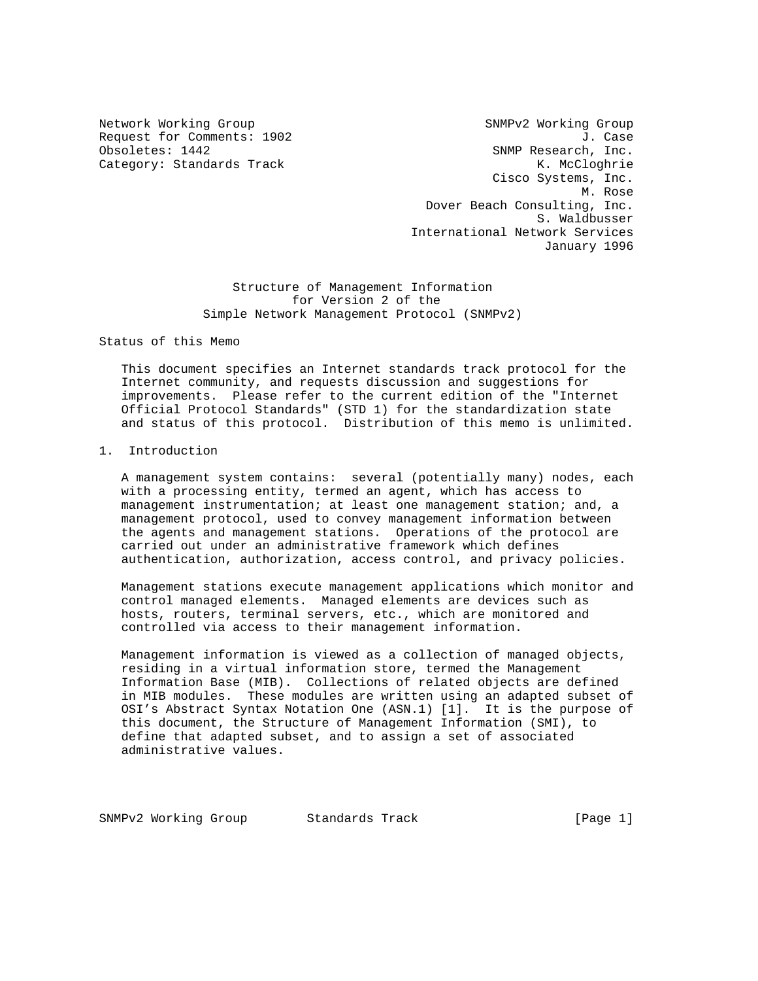Network Working Group SNMPv2 Working Group Request for Comments: 1902 <br>Obsoletes: 1442 J. Case (Discoletes: 1442 J. Case (Discoletes: 1442 J. Case (Discoletes: 1442 J. C. 2014) SNMP Research, Inc. Category: Standards Track K. McCloghrie Cisco Systems, Inc. M. Rose Dover Beach Consulting, Inc. S. Waldbusser International Network Services January 1996

> Structure of Management Information for Version 2 of the Simple Network Management Protocol (SNMPv2)

### Status of this Memo

 This document specifies an Internet standards track protocol for the Internet community, and requests discussion and suggestions for improvements. Please refer to the current edition of the "Internet Official Protocol Standards" (STD 1) for the standardization state and status of this protocol. Distribution of this memo is unlimited.

## 1. Introduction

 A management system contains: several (potentially many) nodes, each with a processing entity, termed an agent, which has access to management instrumentation; at least one management station; and, a management protocol, used to convey management information between the agents and management stations. Operations of the protocol are carried out under an administrative framework which defines authentication, authorization, access control, and privacy policies.

 Management stations execute management applications which monitor and control managed elements. Managed elements are devices such as hosts, routers, terminal servers, etc., which are monitored and controlled via access to their management information.

 Management information is viewed as a collection of managed objects, residing in a virtual information store, termed the Management Information Base (MIB). Collections of related objects are defined in MIB modules. These modules are written using an adapted subset of OSI's Abstract Syntax Notation One (ASN.1) [1]. It is the purpose of this document, the Structure of Management Information (SMI), to define that adapted subset, and to assign a set of associated administrative values.

SNMPv2 Working Group Standards Track [Page 1]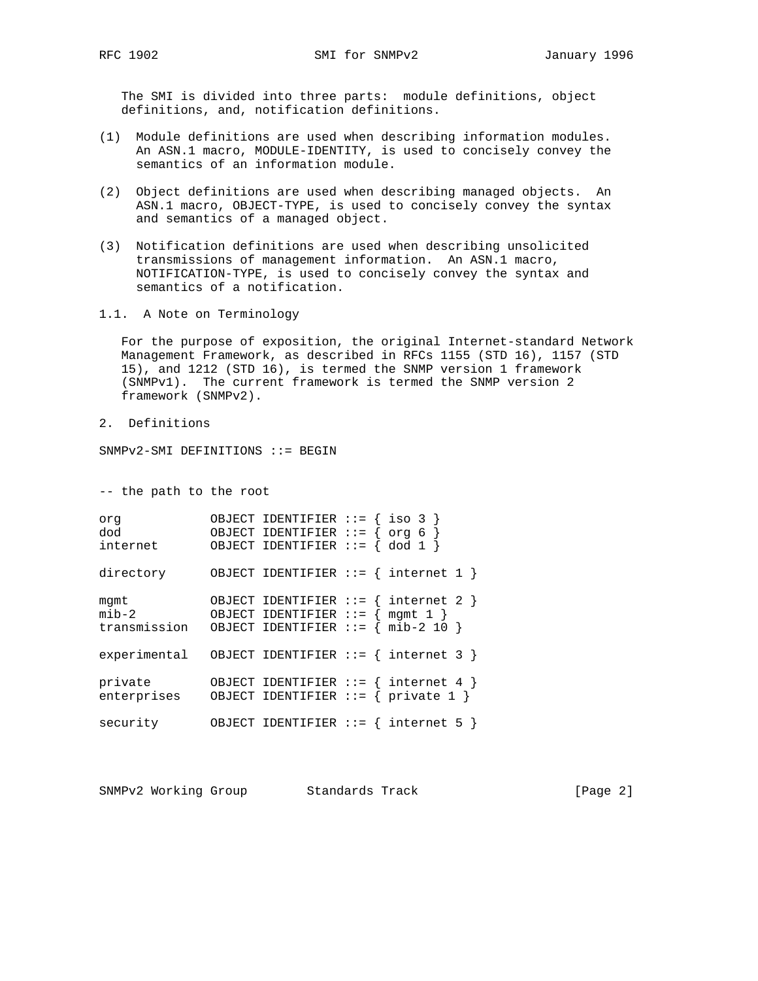The SMI is divided into three parts: module definitions, object definitions, and, notification definitions.

- (1) Module definitions are used when describing information modules. An ASN.1 macro, MODULE-IDENTITY, is used to concisely convey the semantics of an information module.
- (2) Object definitions are used when describing managed objects. An ASN.1 macro, OBJECT-TYPE, is used to concisely convey the syntax and semantics of a managed object.
- (3) Notification definitions are used when describing unsolicited transmissions of management information. An ASN.1 macro, NOTIFICATION-TYPE, is used to concisely convey the syntax and semantics of a notification.
- 1.1. A Note on Terminology

 For the purpose of exposition, the original Internet-standard Network Management Framework, as described in RFCs 1155 (STD 16), 1157 (STD 15), and 1212 (STD 16), is termed the SNMP version 1 framework (SNMPv1). The current framework is termed the SNMP version 2 framework (SNMPv2).

2. Definitions

SNMPv2-SMI DEFINITIONS ::= BEGIN

-- the path to the root

| orq                                                 | OBJECT IDENTIFIER ::= $\{ \text{iso } 3 \}$ |                                            |
|-----------------------------------------------------|---------------------------------------------|--------------------------------------------|
| $d$ od $O$ BJECT IDENTIFIER ::= { $org 6$ }         |                                             |                                            |
| internet $OBJECT IDENTIFIER :: = \{ dod 1 \}$       |                                             |                                            |
| directory                                           |                                             | OBJECT IDENTIFIER ::= { internet 1 }       |
| mqmt                                                |                                             | OBJECT IDENTIFIER ::= { internet 2 }       |
| mib-2                                               | OBJECT IDENTIFIER ::= $\{$ mgmt 1 $\}$      |                                            |
| transmission OBJECT IDENTIFIER ::= $\{mb-2 10\}$    |                                             |                                            |
| $experimental$ OBJECT IDENTIFIER ::= { internet 3 } |                                             |                                            |
| private                                             |                                             | OBJECT IDENTIFIER ::= $\{$ internet 4 $\}$ |
| enterprises                                         |                                             | OBJECT IDENTIFIER ::= { private 1 }        |
| security                                            |                                             | OBJECT IDENTIFIER ::= $\{$ internet 5 $\}$ |

SNMPv2 Working Group Standards Track [Page 2]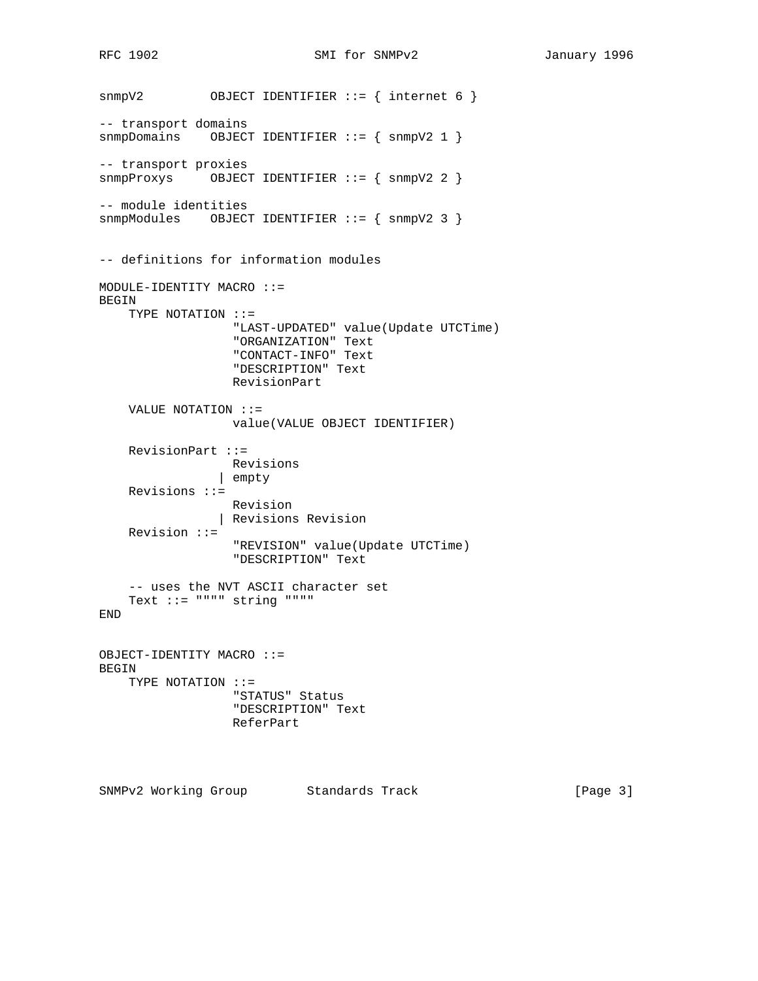snmpV2 OBJECT IDENTIFIER ::= { internet 6 } -- transport domains snmpDomains OBJECT IDENTIFIER ::= { snmpV2 1 } -- transport proxies snmpProxys OBJECT IDENTIFIER ::= { snmpV2 2 } -- module identities snmpModules OBJECT IDENTIFIER ::= { snmpV2 3 } -- definitions for information modules MODULE-IDENTITY MACRO ::= BEGIN TYPE NOTATION ::= "LAST-UPDATED" value(Update UTCTime) "ORGANIZATION" Text "CONTACT-INFO" Text "DESCRIPTION" Text RevisionPart VALUE NOTATION ::= value(VALUE OBJECT IDENTIFIER) RevisionPart ::= Revisions | empty Revisions ::= Revision | Revisions Revision Revision ::= "REVISION" value(Update UTCTime) "DESCRIPTION" Text -- uses the NVT ASCII character set Text ::= """" string """" END OBJECT-IDENTITY MACRO ::= BEGIN TYPE NOTATION ::= "STATUS" Status "DESCRIPTION" Text ReferPart

SNMPv2 Working Group Standards Track [Page 3]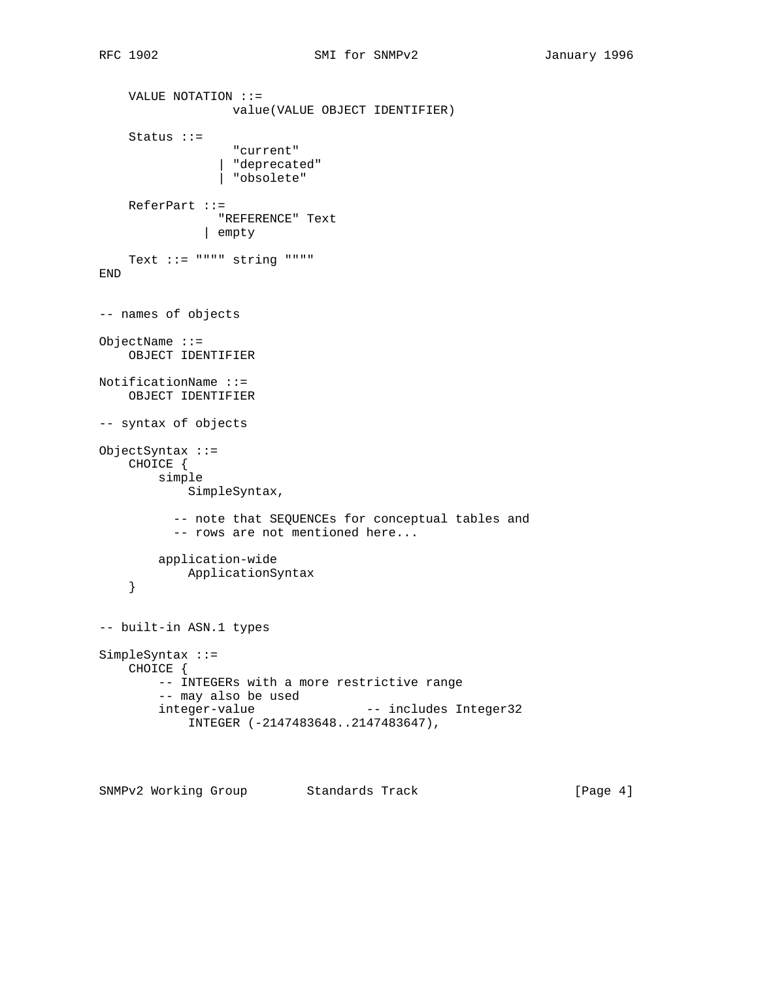```
 VALUE NOTATION ::=
                  value(VALUE OBJECT IDENTIFIER)
     Status ::=
                   "current"
                 | "deprecated"
                 | "obsolete"
     ReferPart ::=
                "REFERENCE" Text
               | empty
    Text ::= """" string """"
END
-- names of objects
ObjectName ::=
    OBJECT IDENTIFIER
NotificationName ::=
    OBJECT IDENTIFIER
-- syntax of objects
ObjectSyntax ::=
     CHOICE {
         simple
            SimpleSyntax,
           -- note that SEQUENCEs for conceptual tables and
           -- rows are not mentioned here...
         application-wide
            ApplicationSyntax
     }
-- built-in ASN.1 types
SimpleSyntax ::=
     CHOICE {
        -- INTEGERs with a more restrictive range
         -- may also be used
        integer-value -- includes Integer32
             INTEGER (-2147483648..2147483647),
```
SNMPv2 Working Group Standards Track [Page 4]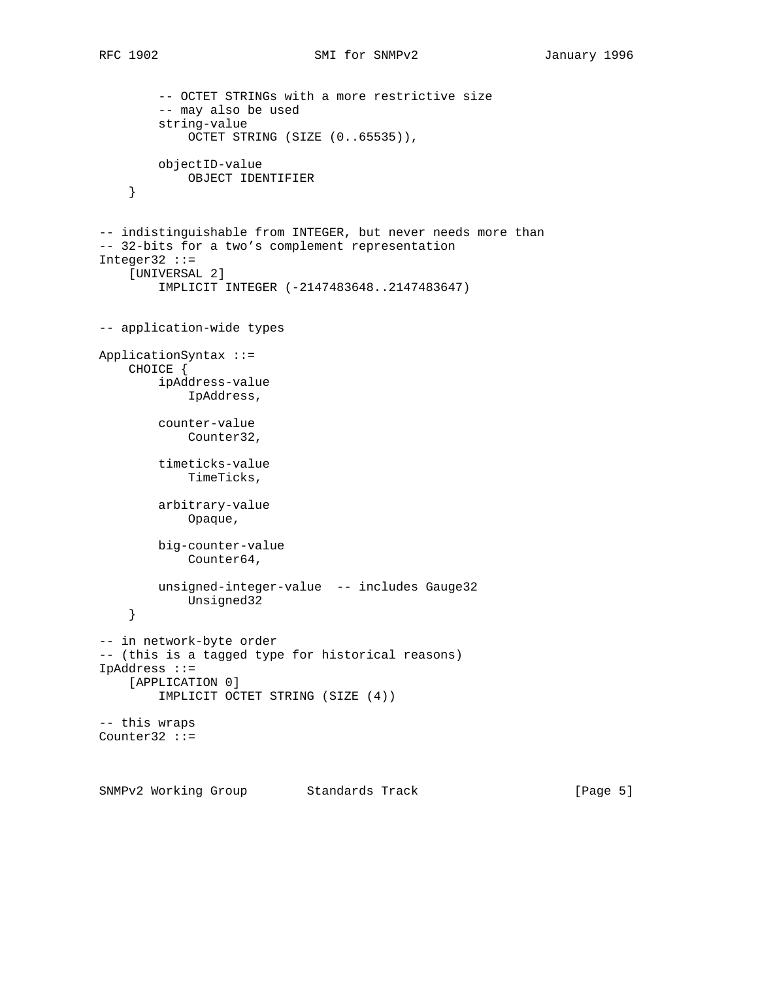```
 -- OCTET STRINGs with a more restrictive size
         -- may also be used
         string-value
             OCTET STRING (SIZE (0..65535)),
         objectID-value
             OBJECT IDENTIFIER
     }
-- indistinguishable from INTEGER, but never needs more than
-- 32-bits for a two's complement representation
Integer32 ::=
    [UNIVERSAL 2]
         IMPLICIT INTEGER (-2147483648..2147483647)
-- application-wide types
ApplicationSyntax ::=
     CHOICE {
         ipAddress-value
             IpAddress,
         counter-value
             Counter32,
         timeticks-value
             TimeTicks,
         arbitrary-value
             Opaque,
         big-counter-value
             Counter64,
         unsigned-integer-value -- includes Gauge32
          Unsigned32
     }
-- in network-byte order
-- (this is a tagged type for historical reasons)
IpAddress ::=
    [APPLICATION 0]
         IMPLICIT OCTET STRING (SIZE (4))
-- this wraps
Counter32 ::=
```
SNMPv2 Working Group Standards Track [Page 5]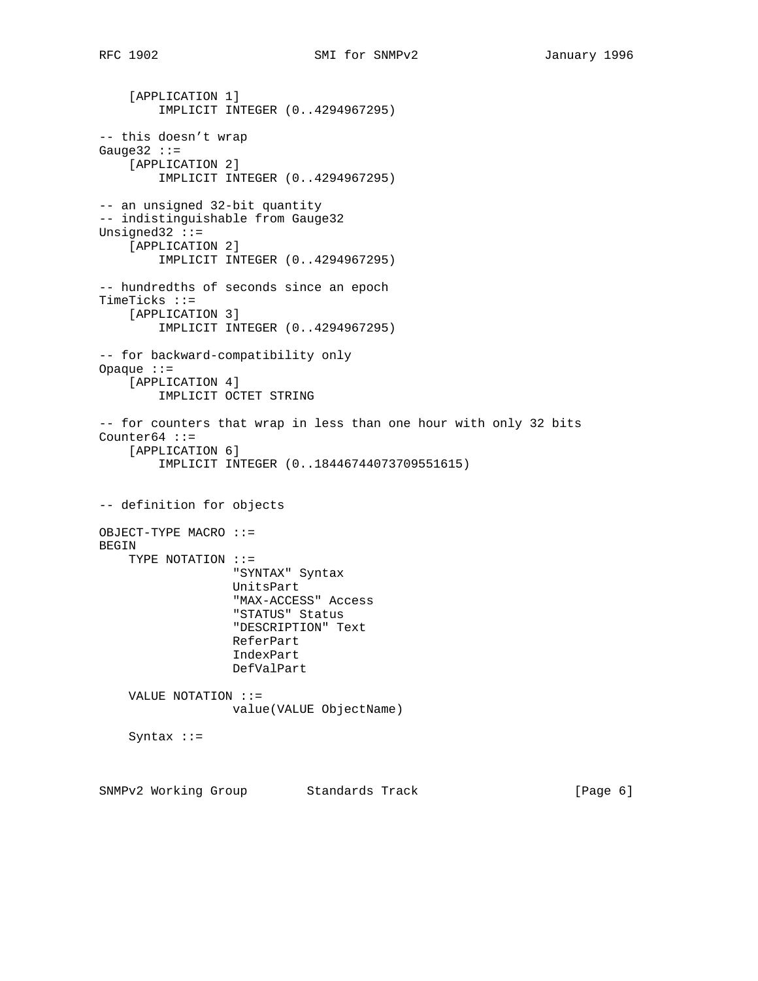[APPLICATION 1] IMPLICIT INTEGER (0..4294967295) -- this doesn't wrap Gauge  $32$  : : = [APPLICATION 2] IMPLICIT INTEGER (0..4294967295) -- an unsigned 32-bit quantity -- indistinguishable from Gauge32 Unsigned32 ::= [APPLICATION 2] IMPLICIT INTEGER (0..4294967295) -- hundredths of seconds since an epoch TimeTicks ::= [APPLICATION 3] IMPLICIT INTEGER (0..4294967295) -- for backward-compatibility only Opaque ::= [APPLICATION 4] IMPLICIT OCTET STRING -- for counters that wrap in less than one hour with only 32 bits Counter $64$  ::= [APPLICATION 6] IMPLICIT INTEGER (0..18446744073709551615) -- definition for objects OBJECT-TYPE MACRO ::= BEGIN TYPE NOTATION ::= "SYNTAX" Syntax UnitsPart "MAX-ACCESS" Access "STATUS" Status "DESCRIPTION" Text ReferPart IndexPart DefValPart VALUE NOTATION ::= value(VALUE ObjectName) Syntax ::=

SNMPv2 Working Group Standards Track [Page 6]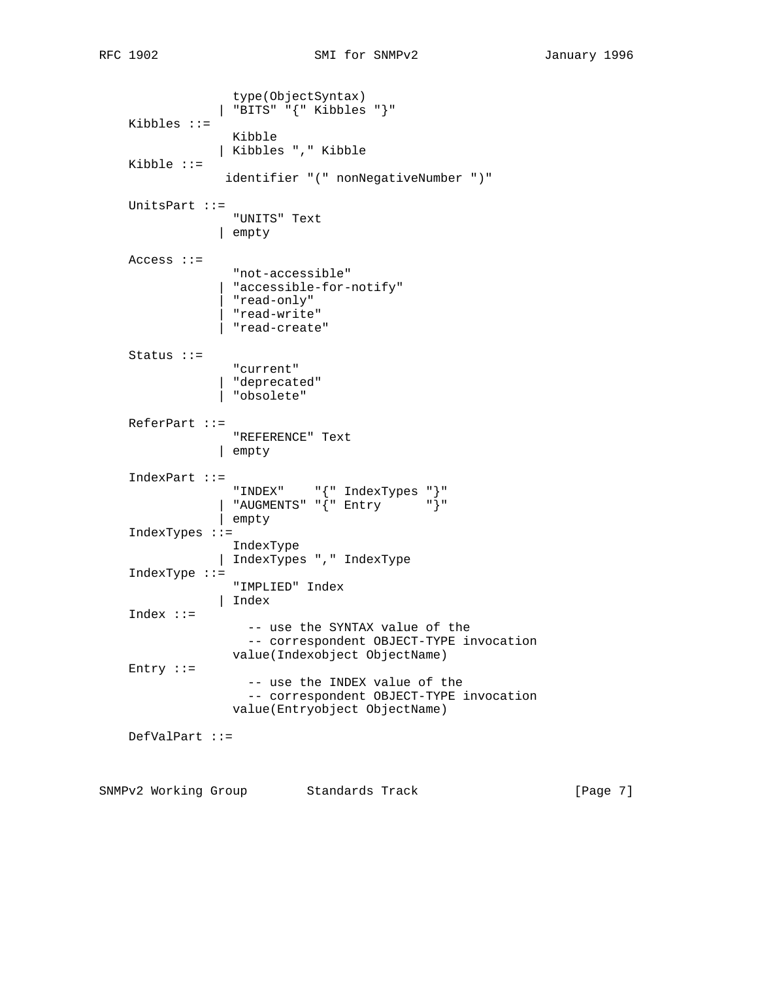type(ObjectSyntax) | "BITS" "{" Kibbles "}" Kibbles ::= Kibble | Kibbles "," Kibble Kibble ::= identifier "(" nonNegativeNumber ")" UnitsPart ::= "UNITS" Text | empty Access ::= "not-accessible" | "accessible-for-notify" | "read-only" | "read-write" | "read-create" Status ::= "current" | "deprecated" | "obsolete" ReferPart ::= "REFERENCE" Text | empty IndexPart ::= "INDEX" "{" IndexTypes "}" | "AUGMENTS" " $\left\{ \text{``Entry} \right\}$ " | empty IndexTypes ::= IndexType | IndexTypes "," IndexType IndexType ::= "IMPLIED" Index | Index Index ::= -- use the SYNTAX value of the -- correspondent OBJECT-TYPE invocation value(Indexobject ObjectName) Entry ::= -- use the INDEX value of the -- correspondent OBJECT-TYPE invocation value(Entryobject ObjectName) DefValPart ::=

SNMPv2 Working Group Standards Track [Page 7]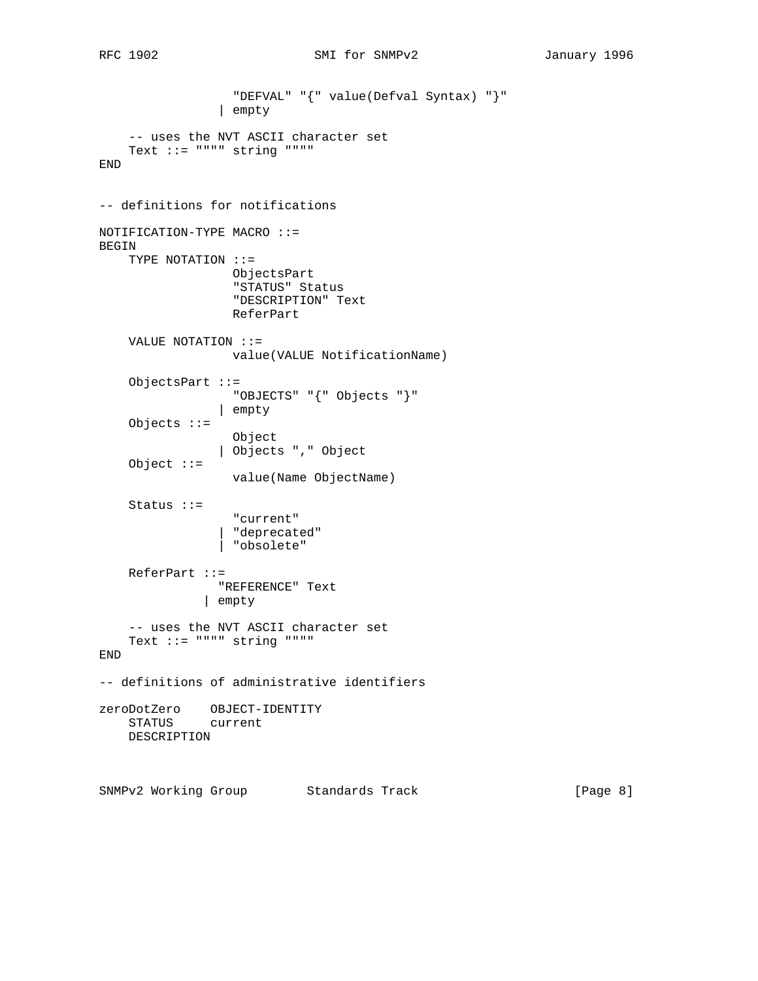```
 "DEFVAL" "{" value(Defval Syntax) "}"
                 | empty
     -- uses the NVT ASCII character set
     Text ::= """" string """"
END
-- definitions for notifications
NOTIFICATION-TYPE MACRO ::=
BEGIN
     TYPE NOTATION ::=
                   ObjectsPart
                   "STATUS" Status
                   "DESCRIPTION" Text
                   ReferPart
     VALUE NOTATION ::=
                  value(VALUE NotificationName)
     ObjectsPart ::=
                   "OBJECTS" "{" Objects "}"
                 | empty
     Objects ::=
                   Object
                | Objects "," Object
     Object ::=
                  value(Name ObjectName)
     Status ::=
                   "current"
                 | "deprecated"
                 | "obsolete"
     ReferPart ::=
                 "REFERENCE" Text
               | empty
     -- uses the NVT ASCII character set
    Text ::= """" string """"
END
-- definitions of administrative identifiers
zeroDotZero OBJECT-IDENTITY
     STATUS current
     DESCRIPTION
```
SNMPv2 Working Group Standards Track [Page 8]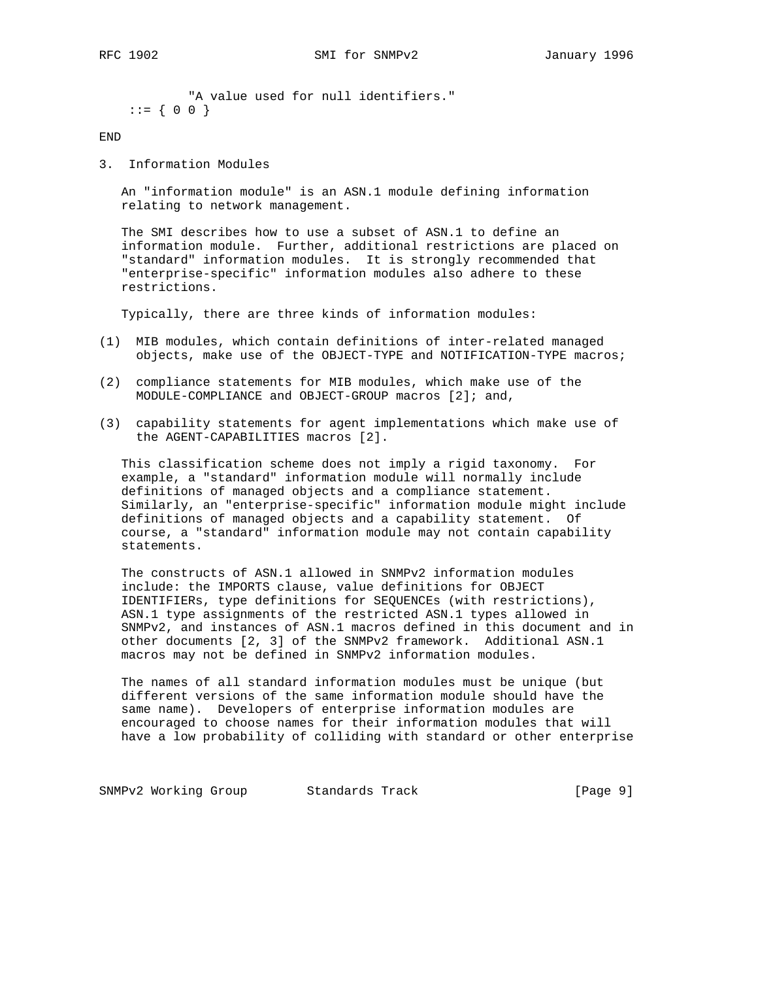$$
\texttt{"A value used for null identifiers."} \\ \texttt{::= \{ 0 0 \}}
$$

END

3. Information Modules

 An "information module" is an ASN.1 module defining information relating to network management.

 The SMI describes how to use a subset of ASN.1 to define an information module. Further, additional restrictions are placed on "standard" information modules. It is strongly recommended that "enterprise-specific" information modules also adhere to these restrictions.

Typically, there are three kinds of information modules:

- (1) MIB modules, which contain definitions of inter-related managed objects, make use of the OBJECT-TYPE and NOTIFICATION-TYPE macros;
- (2) compliance statements for MIB modules, which make use of the MODULE-COMPLIANCE and OBJECT-GROUP macros [2]; and,
- (3) capability statements for agent implementations which make use of the AGENT-CAPABILITIES macros [2].

 This classification scheme does not imply a rigid taxonomy. For example, a "standard" information module will normally include definitions of managed objects and a compliance statement. Similarly, an "enterprise-specific" information module might include definitions of managed objects and a capability statement. Of course, a "standard" information module may not contain capability statements.

 The constructs of ASN.1 allowed in SNMPv2 information modules include: the IMPORTS clause, value definitions for OBJECT IDENTIFIERs, type definitions for SEQUENCEs (with restrictions), ASN.1 type assignments of the restricted ASN.1 types allowed in SNMPv2, and instances of ASN.1 macros defined in this document and in other documents [2, 3] of the SNMPv2 framework. Additional ASN.1 macros may not be defined in SNMPv2 information modules.

 The names of all standard information modules must be unique (but different versions of the same information module should have the same name). Developers of enterprise information modules are encouraged to choose names for their information modules that will have a low probability of colliding with standard or other enterprise

SNMPv2 Working Group Standards Track [Page 9]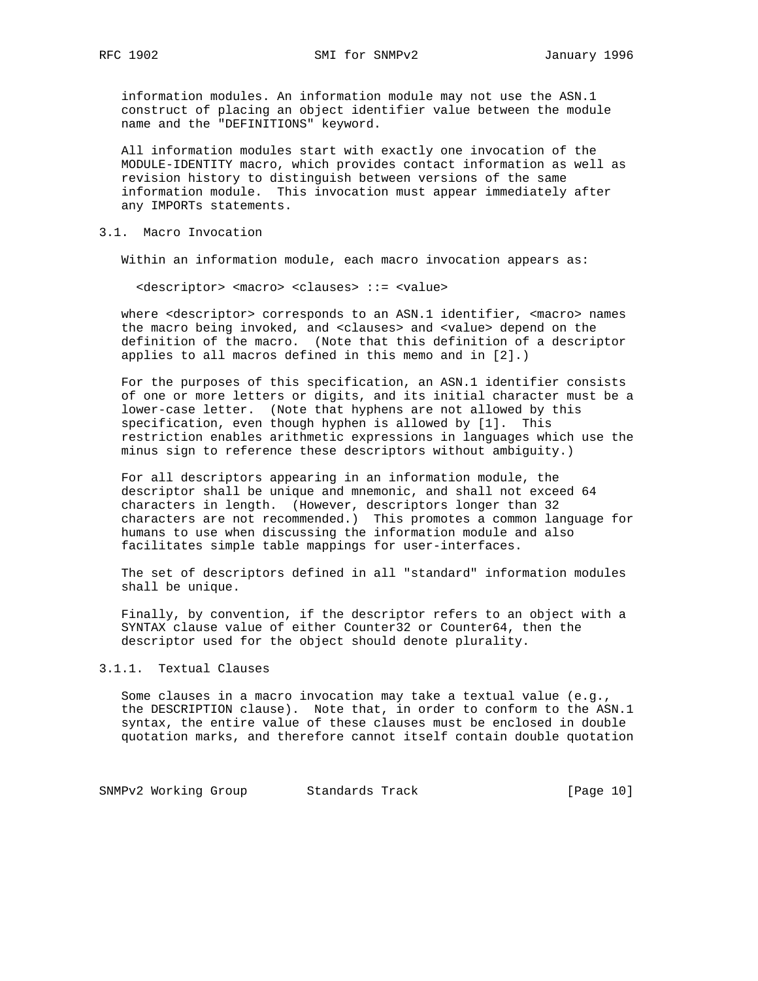information modules. An information module may not use the ASN.1 construct of placing an object identifier value between the module name and the "DEFINITIONS" keyword.

 All information modules start with exactly one invocation of the MODULE-IDENTITY macro, which provides contact information as well as revision history to distinguish between versions of the same information module. This invocation must appear immediately after any IMPORTs statements.

### 3.1. Macro Invocation

Within an information module, each macro invocation appears as:

<descriptor> <macro> <clauses> ::= <value>

where <descriptor> corresponds to an ASN.1 identifier, <macro> names the macro being invoked, and <clauses> and <value> depend on the definition of the macro. (Note that this definition of a descriptor applies to all macros defined in this memo and in [2].)

 For the purposes of this specification, an ASN.1 identifier consists of one or more letters or digits, and its initial character must be a lower-case letter. (Note that hyphens are not allowed by this specification, even though hyphen is allowed by [1]. This restriction enables arithmetic expressions in languages which use the minus sign to reference these descriptors without ambiguity.)

 For all descriptors appearing in an information module, the descriptor shall be unique and mnemonic, and shall not exceed 64 characters in length. (However, descriptors longer than 32 characters are not recommended.) This promotes a common language for humans to use when discussing the information module and also facilitates simple table mappings for user-interfaces.

 The set of descriptors defined in all "standard" information modules shall be unique.

 Finally, by convention, if the descriptor refers to an object with a SYNTAX clause value of either Counter32 or Counter64, then the descriptor used for the object should denote plurality.

### 3.1.1. Textual Clauses

 Some clauses in a macro invocation may take a textual value (e.g., the DESCRIPTION clause). Note that, in order to conform to the ASN.1 syntax, the entire value of these clauses must be enclosed in double quotation marks, and therefore cannot itself contain double quotation

SNMPv2 Working Group Standards Track [Page 10]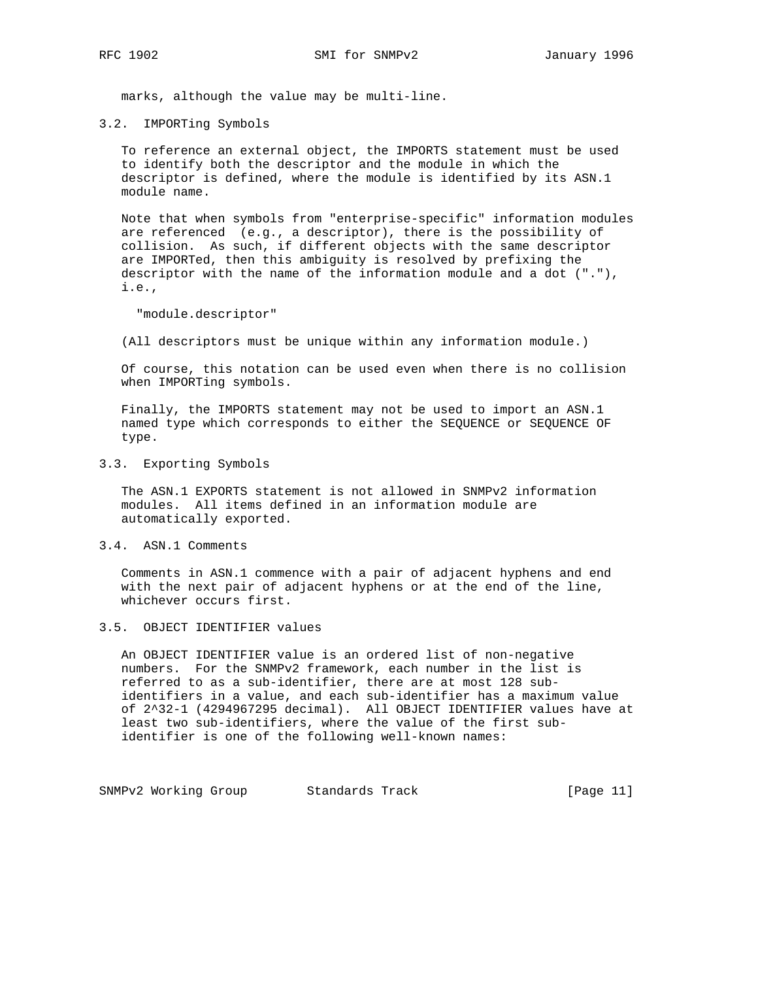marks, although the value may be multi-line.

3.2. IMPORTing Symbols

 To reference an external object, the IMPORTS statement must be used to identify both the descriptor and the module in which the descriptor is defined, where the module is identified by its ASN.1 module name.

 Note that when symbols from "enterprise-specific" information modules are referenced (e.g., a descriptor), there is the possibility of collision. As such, if different objects with the same descriptor are IMPORTed, then this ambiguity is resolved by prefixing the descriptor with the name of the information module and a dot ("."), i.e.,

"module.descriptor"

(All descriptors must be unique within any information module.)

 Of course, this notation can be used even when there is no collision when IMPORTing symbols.

 Finally, the IMPORTS statement may not be used to import an ASN.1 named type which corresponds to either the SEQUENCE or SEQUENCE OF type.

3.3. Exporting Symbols

 The ASN.1 EXPORTS statement is not allowed in SNMPv2 information modules. All items defined in an information module are automatically exported.

3.4. ASN.1 Comments

 Comments in ASN.1 commence with a pair of adjacent hyphens and end with the next pair of adjacent hyphens or at the end of the line, whichever occurs first.

3.5. OBJECT IDENTIFIER values

 An OBJECT IDENTIFIER value is an ordered list of non-negative numbers. For the SNMPv2 framework, each number in the list is referred to as a sub-identifier, there are at most 128 sub identifiers in a value, and each sub-identifier has a maximum value of 2^32-1 (4294967295 decimal). All OBJECT IDENTIFIER values have at least two sub-identifiers, where the value of the first sub identifier is one of the following well-known names:

SNMPv2 Working Group Standards Track [Page 11]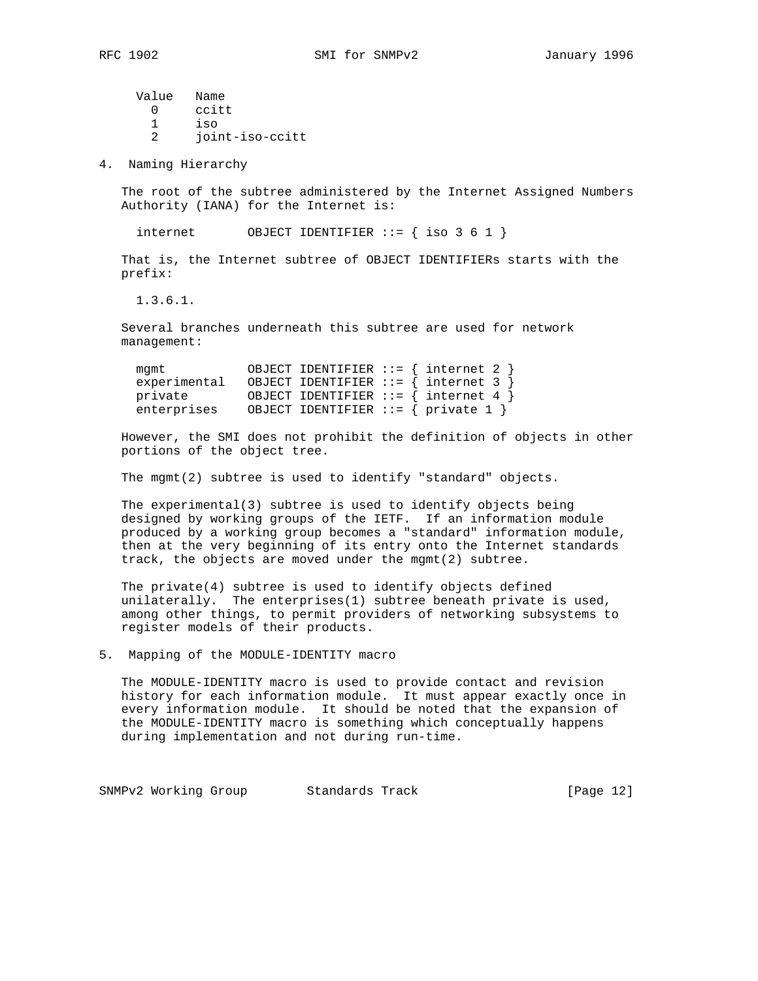Value Name 0 ccitt 1 iso 2 joint-iso-ccitt

4. Naming Hierarchy

 The root of the subtree administered by the Internet Assigned Numbers Authority (IANA) for the Internet is:

internet  $OBJECT IDENTIFIER :: = \{ iso 3 6 1 \}$ 

 That is, the Internet subtree of OBJECT IDENTIFIERs starts with the prefix:

1.3.6.1.

 Several branches underneath this subtree are used for network management:

 mgmt OBJECT IDENTIFIER ::= { internet 2 } experimental OBJECT IDENTIFIER ::=  $\{$  internet 3  $\}$  private OBJECT IDENTIFIER ::= { internet 4 } enterprises OBJECT IDENTIFIER ::= { private 1 }

 However, the SMI does not prohibit the definition of objects in other portions of the object tree.

The mgmt(2) subtree is used to identify "standard" objects.

 The experimental(3) subtree is used to identify objects being designed by working groups of the IETF. If an information module produced by a working group becomes a "standard" information module, then at the very beginning of its entry onto the Internet standards track, the objects are moved under the mgmt(2) subtree.

 The private(4) subtree is used to identify objects defined unilaterally. The enterprises(1) subtree beneath private is used, among other things, to permit providers of networking subsystems to register models of their products.

5. Mapping of the MODULE-IDENTITY macro

 The MODULE-IDENTITY macro is used to provide contact and revision history for each information module. It must appear exactly once in every information module. It should be noted that the expansion of the MODULE-IDENTITY macro is something which conceptually happens during implementation and not during run-time.

SNMPv2 Working Group Standards Track [Page 12]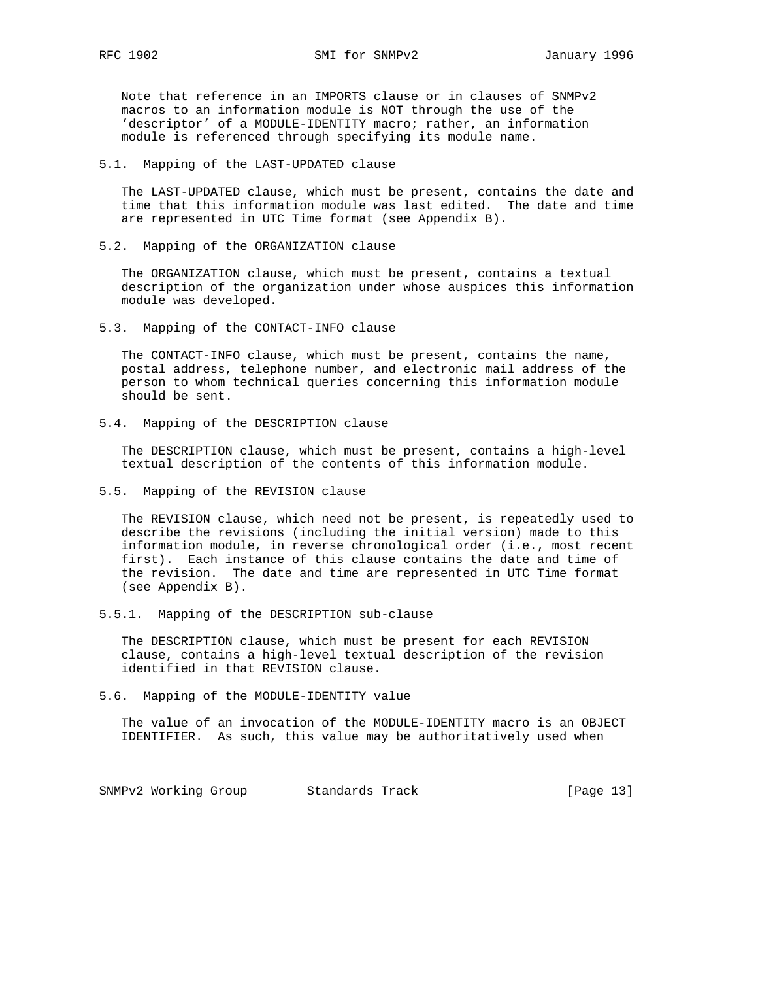Note that reference in an IMPORTS clause or in clauses of SNMPv2 macros to an information module is NOT through the use of the 'descriptor' of a MODULE-IDENTITY macro; rather, an information module is referenced through specifying its module name.

5.1. Mapping of the LAST-UPDATED clause

 The LAST-UPDATED clause, which must be present, contains the date and time that this information module was last edited. The date and time are represented in UTC Time format (see Appendix B).

5.2. Mapping of the ORGANIZATION clause

 The ORGANIZATION clause, which must be present, contains a textual description of the organization under whose auspices this information module was developed.

5.3. Mapping of the CONTACT-INFO clause

 The CONTACT-INFO clause, which must be present, contains the name, postal address, telephone number, and electronic mail address of the person to whom technical queries concerning this information module should be sent.

5.4. Mapping of the DESCRIPTION clause

 The DESCRIPTION clause, which must be present, contains a high-level textual description of the contents of this information module.

5.5. Mapping of the REVISION clause

 The REVISION clause, which need not be present, is repeatedly used to describe the revisions (including the initial version) made to this information module, in reverse chronological order (i.e., most recent first). Each instance of this clause contains the date and time of the revision. The date and time are represented in UTC Time format (see Appendix B).

5.5.1. Mapping of the DESCRIPTION sub-clause

 The DESCRIPTION clause, which must be present for each REVISION clause, contains a high-level textual description of the revision identified in that REVISION clause.

5.6. Mapping of the MODULE-IDENTITY value

 The value of an invocation of the MODULE-IDENTITY macro is an OBJECT IDENTIFIER. As such, this value may be authoritatively used when

SNMPv2 Working Group Standards Track [Page 13]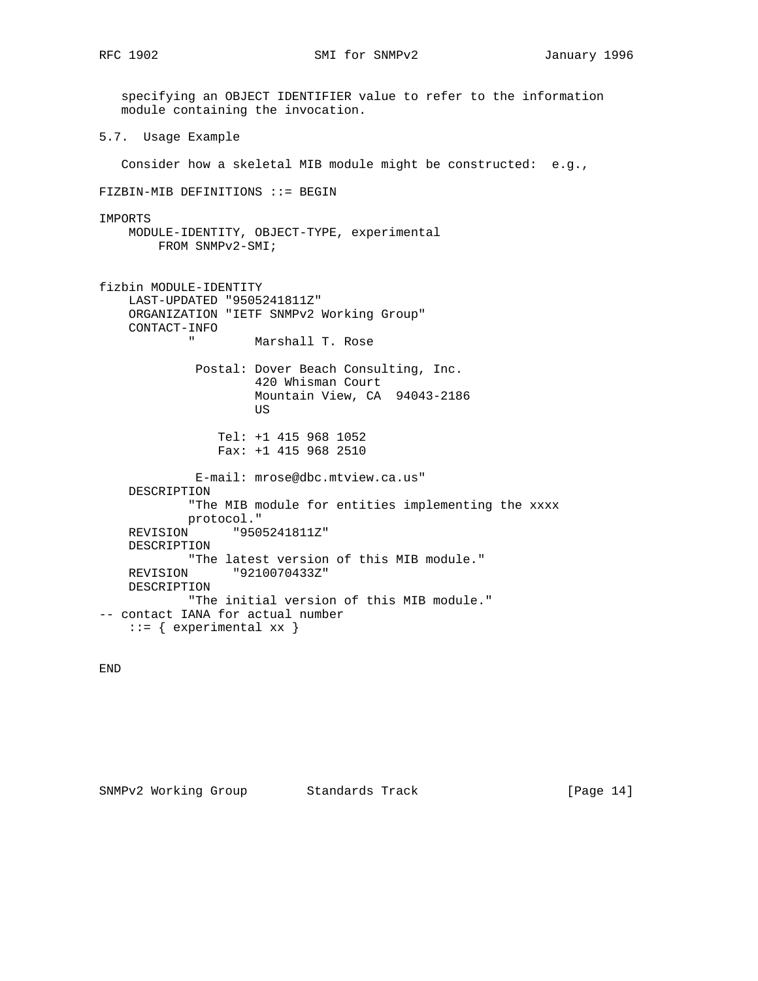specifying an OBJECT IDENTIFIER value to refer to the information module containing the invocation. 5.7. Usage Example Consider how a skeletal MIB module might be constructed: e.g., FIZBIN-MIB DEFINITIONS ::= BEGIN IMPORTS MODULE-IDENTITY, OBJECT-TYPE, experimental FROM SNMPv2-SMI; fizbin MODULE-IDENTITY LAST-UPDATED "9505241811Z" ORGANIZATION "IETF SNMPv2 Working Group" CONTACT-INFO Marshall T. Rose Postal: Dover Beach Consulting, Inc. 420 Whisman Court Mountain View, CA 94043-2186 US DE L'ANNO DE L'ANNO DE L'ANNO DE L'ANNO DE L'ANNO DE L'ANNO DE L'ANNO DE L'ANNO DE L'ANNO DE L'ANNO DE L'AN Tel: +1 415 968 1052 Fax: +1 415 968 2510 E-mail: mrose@dbc.mtview.ca.us" DESCRIPTION "The MIB module for entities implementing the xxxx protocol." REVISION "9505241811Z" DESCRIPTION "The latest version of this MIB module."<br>REVISION "9210070433Z" REVISION "9210070433Z" DESCRIPTION "The initial version of this MIB module." -- contact IANA for actual number  $::=$  { experimental  $xx$  }

END

SNMPv2 Working Group Standards Track [Page 14]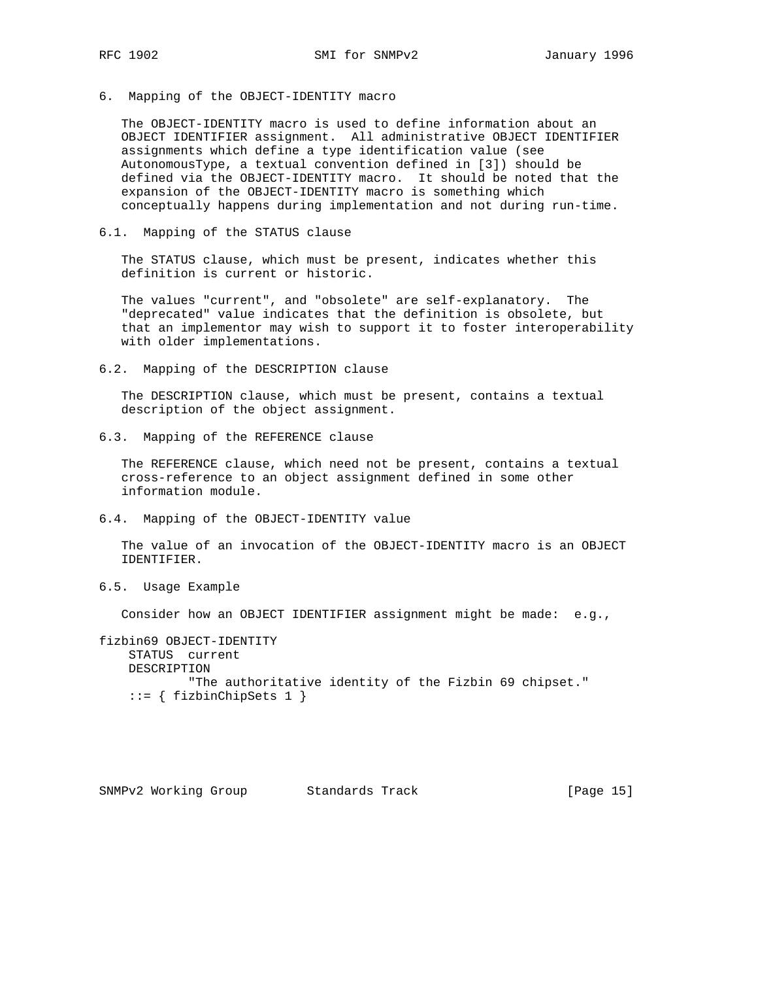### 6. Mapping of the OBJECT-IDENTITY macro

 The OBJECT-IDENTITY macro is used to define information about an OBJECT IDENTIFIER assignment. All administrative OBJECT IDENTIFIER assignments which define a type identification value (see AutonomousType, a textual convention defined in [3]) should be defined via the OBJECT-IDENTITY macro. It should be noted that the expansion of the OBJECT-IDENTITY macro is something which conceptually happens during implementation and not during run-time.

### 6.1. Mapping of the STATUS clause

 The STATUS clause, which must be present, indicates whether this definition is current or historic.

 The values "current", and "obsolete" are self-explanatory. The "deprecated" value indicates that the definition is obsolete, but that an implementor may wish to support it to foster interoperability with older implementations.

6.2. Mapping of the DESCRIPTION clause

 The DESCRIPTION clause, which must be present, contains a textual description of the object assignment.

6.3. Mapping of the REFERENCE clause

 The REFERENCE clause, which need not be present, contains a textual cross-reference to an object assignment defined in some other information module.

6.4. Mapping of the OBJECT-IDENTITY value

 The value of an invocation of the OBJECT-IDENTITY macro is an OBJECT IDENTIFIER.

6.5. Usage Example

Consider how an OBJECT IDENTIFIER assignment might be made: e.g.,

fizbin69 OBJECT-IDENTITY STATUS current DESCRIPTION "The authoritative identity of the Fizbin 69 chipset."  $::=$  { fizbinChipSets 1 }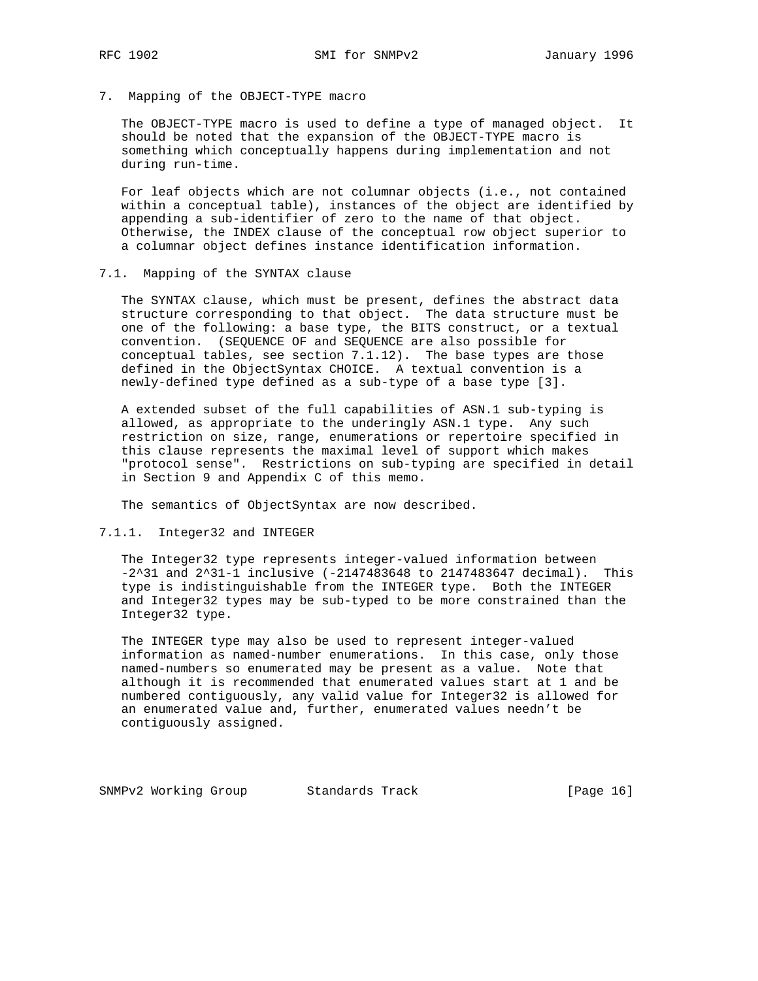7. Mapping of the OBJECT-TYPE macro

 The OBJECT-TYPE macro is used to define a type of managed object. It should be noted that the expansion of the OBJECT-TYPE macro is something which conceptually happens during implementation and not during run-time.

 For leaf objects which are not columnar objects (i.e., not contained within a conceptual table), instances of the object are identified by appending a sub-identifier of zero to the name of that object. Otherwise, the INDEX clause of the conceptual row object superior to a columnar object defines instance identification information.

### 7.1. Mapping of the SYNTAX clause

 The SYNTAX clause, which must be present, defines the abstract data structure corresponding to that object. The data structure must be one of the following: a base type, the BITS construct, or a textual convention. (SEQUENCE OF and SEQUENCE are also possible for conceptual tables, see section 7.1.12). The base types are those defined in the ObjectSyntax CHOICE. A textual convention is a newly-defined type defined as a sub-type of a base type [3].

 A extended subset of the full capabilities of ASN.1 sub-typing is allowed, as appropriate to the underingly ASN.1 type. Any such restriction on size, range, enumerations or repertoire specified in this clause represents the maximal level of support which makes "protocol sense". Restrictions on sub-typing are specified in detail in Section 9 and Appendix C of this memo.

The semantics of ObjectSyntax are now described.

### 7.1.1. Integer32 and INTEGER

 The Integer32 type represents integer-valued information between -2^31 and 2^31-1 inclusive (-2147483648 to 2147483647 decimal). This type is indistinguishable from the INTEGER type. Both the INTEGER and Integer32 types may be sub-typed to be more constrained than the Integer32 type.

 The INTEGER type may also be used to represent integer-valued information as named-number enumerations. In this case, only those named-numbers so enumerated may be present as a value. Note that although it is recommended that enumerated values start at 1 and be numbered contiguously, any valid value for Integer32 is allowed for an enumerated value and, further, enumerated values needn't be contiguously assigned.

SNMPv2 Working Group Standards Track [Page 16]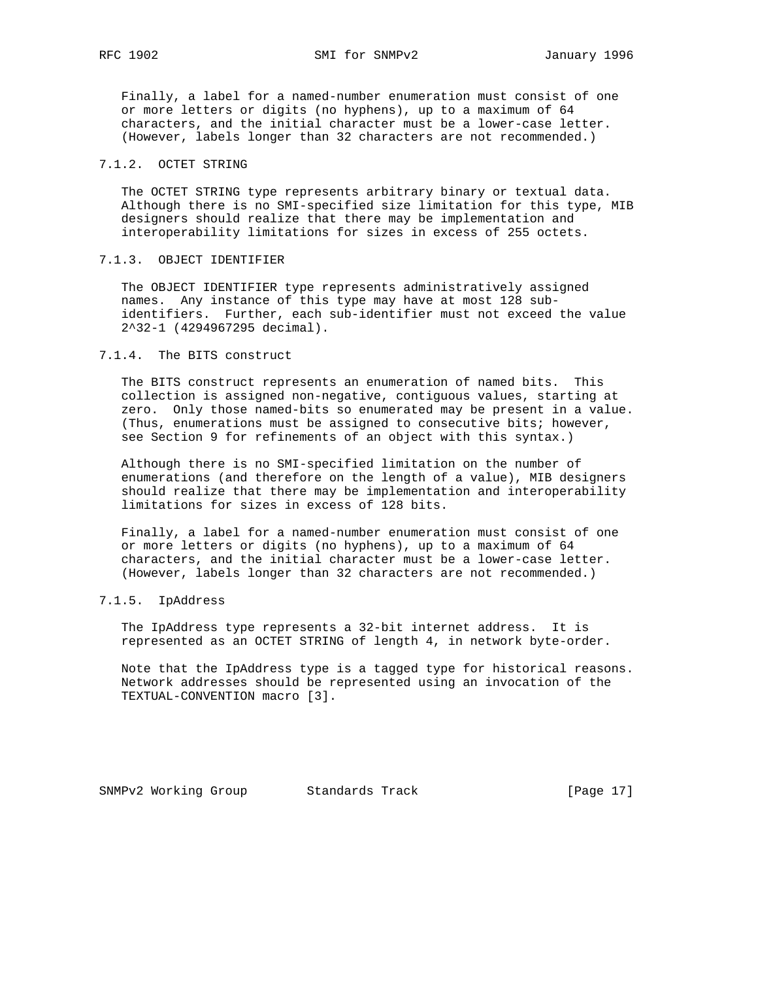Finally, a label for a named-number enumeration must consist of one or more letters or digits (no hyphens), up to a maximum of 64 characters, and the initial character must be a lower-case letter. (However, labels longer than 32 characters are not recommended.)

## 7.1.2. OCTET STRING

 The OCTET STRING type represents arbitrary binary or textual data. Although there is no SMI-specified size limitation for this type, MIB designers should realize that there may be implementation and interoperability limitations for sizes in excess of 255 octets.

## 7.1.3. OBJECT IDENTIFIER

 The OBJECT IDENTIFIER type represents administratively assigned names. Any instance of this type may have at most 128 sub identifiers. Further, each sub-identifier must not exceed the value 2^32-1 (4294967295 decimal).

#### 7.1.4. The BITS construct

 The BITS construct represents an enumeration of named bits. This collection is assigned non-negative, contiguous values, starting at zero. Only those named-bits so enumerated may be present in a value. (Thus, enumerations must be assigned to consecutive bits; however, see Section 9 for refinements of an object with this syntax.)

 Although there is no SMI-specified limitation on the number of enumerations (and therefore on the length of a value), MIB designers should realize that there may be implementation and interoperability limitations for sizes in excess of 128 bits.

 Finally, a label for a named-number enumeration must consist of one or more letters or digits (no hyphens), up to a maximum of 64 characters, and the initial character must be a lower-case letter. (However, labels longer than 32 characters are not recommended.)

## 7.1.5. IpAddress

 The IpAddress type represents a 32-bit internet address. It is represented as an OCTET STRING of length 4, in network byte-order.

 Note that the IpAddress type is a tagged type for historical reasons. Network addresses should be represented using an invocation of the TEXTUAL-CONVENTION macro [3].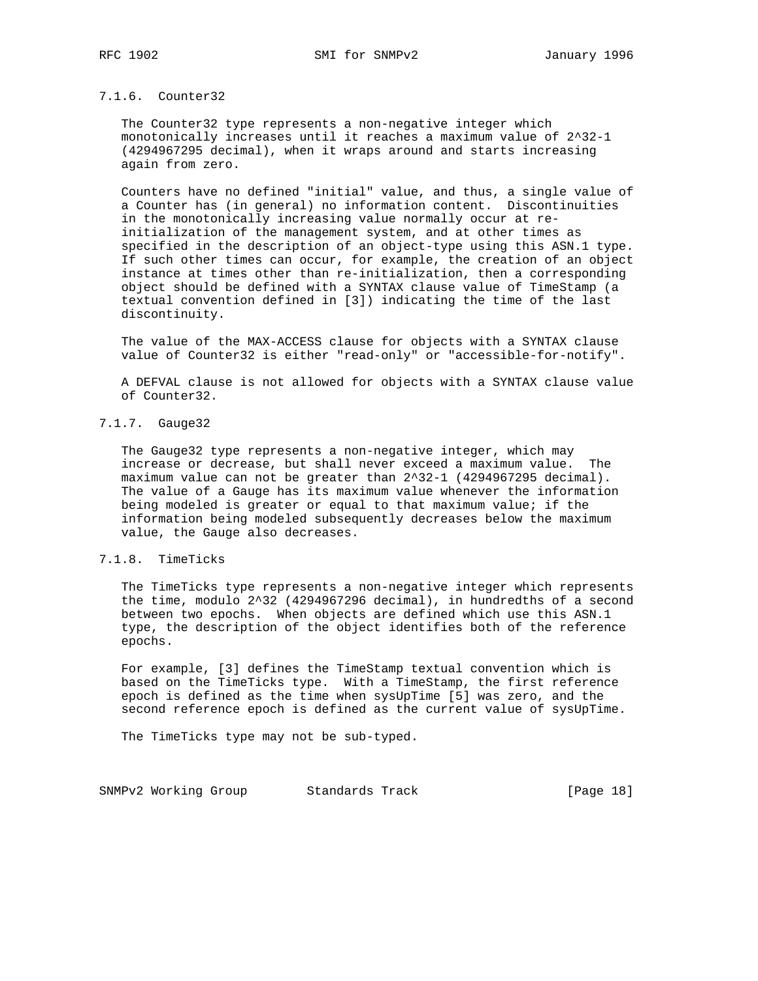## 7.1.6. Counter32

 The Counter32 type represents a non-negative integer which monotonically increases until it reaches a maximum value of 2^32-1 (4294967295 decimal), when it wraps around and starts increasing again from zero.

 Counters have no defined "initial" value, and thus, a single value of a Counter has (in general) no information content. Discontinuities in the monotonically increasing value normally occur at re initialization of the management system, and at other times as specified in the description of an object-type using this ASN.1 type. If such other times can occur, for example, the creation of an object instance at times other than re-initialization, then a corresponding object should be defined with a SYNTAX clause value of TimeStamp (a textual convention defined in [3]) indicating the time of the last discontinuity.

 The value of the MAX-ACCESS clause for objects with a SYNTAX clause value of Counter32 is either "read-only" or "accessible-for-notify".

 A DEFVAL clause is not allowed for objects with a SYNTAX clause value of Counter32.

## 7.1.7. Gauge32

 The Gauge32 type represents a non-negative integer, which may increase or decrease, but shall never exceed a maximum value. The maximum value can not be greater than 2^32-1 (4294967295 decimal). The value of a Gauge has its maximum value whenever the information being modeled is greater or equal to that maximum value; if the information being modeled subsequently decreases below the maximum value, the Gauge also decreases.

# 7.1.8. TimeTicks

 The TimeTicks type represents a non-negative integer which represents the time, modulo 2^32 (4294967296 decimal), in hundredths of a second between two epochs. When objects are defined which use this ASN.1 type, the description of the object identifies both of the reference epochs.

 For example, [3] defines the TimeStamp textual convention which is based on the TimeTicks type. With a TimeStamp, the first reference epoch is defined as the time when sysUpTime [5] was zero, and the second reference epoch is defined as the current value of sysUpTime.

The TimeTicks type may not be sub-typed.

SNMPv2 Working Group Standards Track [Page 18]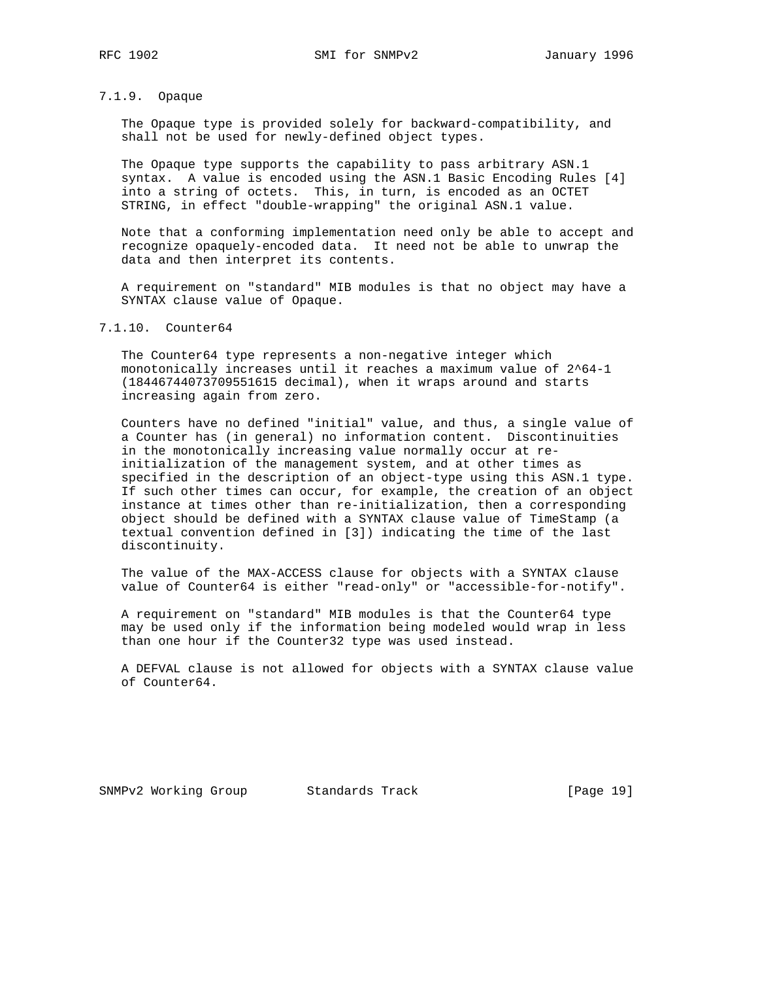### 7.1.9. Opaque

 The Opaque type is provided solely for backward-compatibility, and shall not be used for newly-defined object types.

 The Opaque type supports the capability to pass arbitrary ASN.1 syntax. A value is encoded using the ASN.1 Basic Encoding Rules [4] into a string of octets. This, in turn, is encoded as an OCTET STRING, in effect "double-wrapping" the original ASN.1 value.

 Note that a conforming implementation need only be able to accept and recognize opaquely-encoded data. It need not be able to unwrap the data and then interpret its contents.

 A requirement on "standard" MIB modules is that no object may have a SYNTAX clause value of Opaque.

# 7.1.10. Counter64

 The Counter64 type represents a non-negative integer which monotonically increases until it reaches a maximum value of 2^64-1 (18446744073709551615 decimal), when it wraps around and starts increasing again from zero.

 Counters have no defined "initial" value, and thus, a single value of a Counter has (in general) no information content. Discontinuities in the monotonically increasing value normally occur at re initialization of the management system, and at other times as specified in the description of an object-type using this ASN.1 type. If such other times can occur, for example, the creation of an object instance at times other than re-initialization, then a corresponding object should be defined with a SYNTAX clause value of TimeStamp (a textual convention defined in [3]) indicating the time of the last discontinuity.

 The value of the MAX-ACCESS clause for objects with a SYNTAX clause value of Counter64 is either "read-only" or "accessible-for-notify".

 A requirement on "standard" MIB modules is that the Counter64 type may be used only if the information being modeled would wrap in less than one hour if the Counter32 type was used instead.

 A DEFVAL clause is not allowed for objects with a SYNTAX clause value of Counter64.

SNMPv2 Working Group Standards Track [Page 19]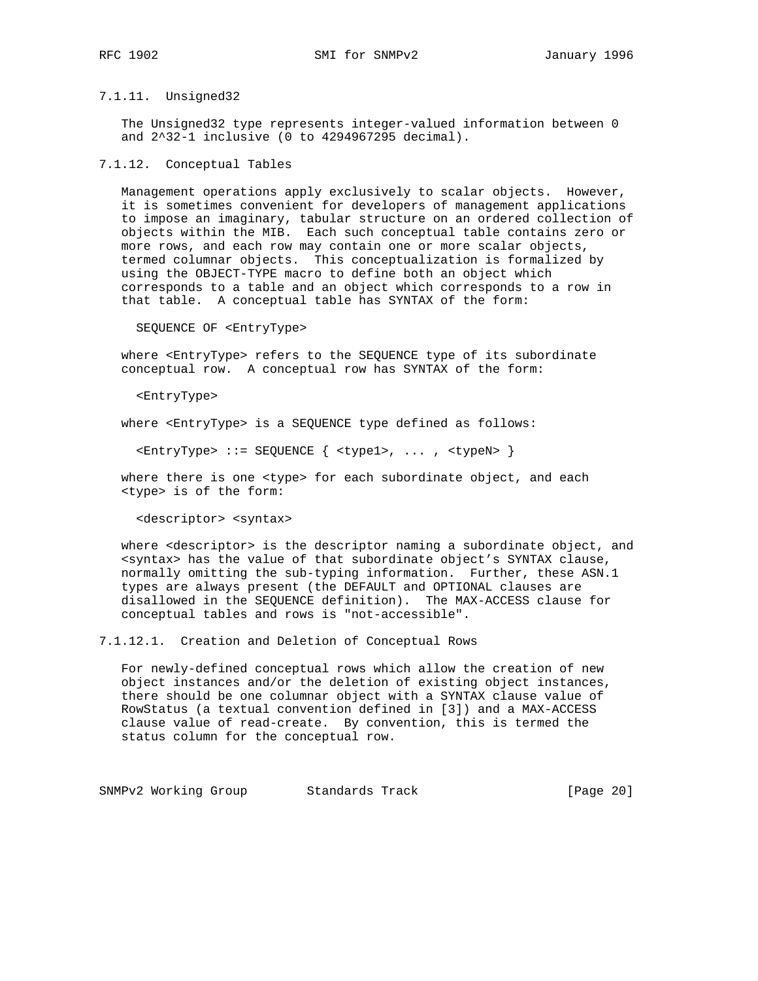## 7.1.11. Unsigned32

 The Unsigned32 type represents integer-valued information between 0 and 2^32-1 inclusive (0 to 4294967295 decimal).

### 7.1.12. Conceptual Tables

 Management operations apply exclusively to scalar objects. However, it is sometimes convenient for developers of management applications to impose an imaginary, tabular structure on an ordered collection of objects within the MIB. Each such conceptual table contains zero or more rows, and each row may contain one or more scalar objects, termed columnar objects. This conceptualization is formalized by using the OBJECT-TYPE macro to define both an object which corresponds to a table and an object which corresponds to a row in that table. A conceptual table has SYNTAX of the form:

SEQUENCE OF <EntryType>

 where <EntryType> refers to the SEQUENCE type of its subordinate conceptual row. A conceptual row has SYNTAX of the form:

<EntryType>

where <EntryType> is a SEQUENCE type defined as follows:

<EntryType> ::= SEQUENCE { <type1>, ... , <typeN> }

 where there is one <type> for each subordinate object, and each <type> is of the form:

<descriptor> <syntax>

where <descriptor> is the descriptor naming a subordinate object, and <syntax> has the value of that subordinate object's SYNTAX clause, normally omitting the sub-typing information. Further, these ASN.1 types are always present (the DEFAULT and OPTIONAL clauses are disallowed in the SEQUENCE definition). The MAX-ACCESS clause for conceptual tables and rows is "not-accessible".

7.1.12.1. Creation and Deletion of Conceptual Rows

 For newly-defined conceptual rows which allow the creation of new object instances and/or the deletion of existing object instances, there should be one columnar object with a SYNTAX clause value of RowStatus (a textual convention defined in [3]) and a MAX-ACCESS clause value of read-create. By convention, this is termed the status column for the conceptual row.

SNMPv2 Working Group Standards Track [Page 20]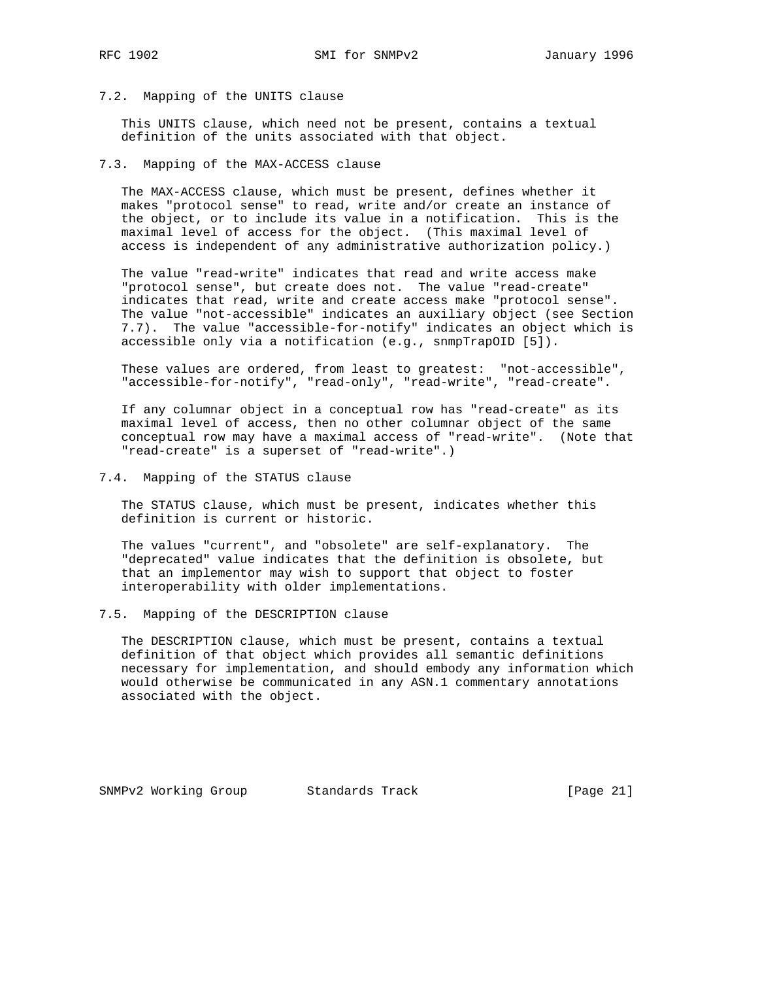### 7.2. Mapping of the UNITS clause

 This UNITS clause, which need not be present, contains a textual definition of the units associated with that object.

7.3. Mapping of the MAX-ACCESS clause

 The MAX-ACCESS clause, which must be present, defines whether it makes "protocol sense" to read, write and/or create an instance of the object, or to include its value in a notification. This is the maximal level of access for the object. (This maximal level of access is independent of any administrative authorization policy.)

 The value "read-write" indicates that read and write access make "protocol sense", but create does not. The value "read-create" indicates that read, write and create access make "protocol sense". The value "not-accessible" indicates an auxiliary object (see Section 7.7). The value "accessible-for-notify" indicates an object which is accessible only via a notification (e.g., snmpTrapOID [5]).

 These values are ordered, from least to greatest: "not-accessible", "accessible-for-notify", "read-only", "read-write", "read-create".

 If any columnar object in a conceptual row has "read-create" as its maximal level of access, then no other columnar object of the same conceptual row may have a maximal access of "read-write". (Note that "read-create" is a superset of "read-write".)

7.4. Mapping of the STATUS clause

 The STATUS clause, which must be present, indicates whether this definition is current or historic.

 The values "current", and "obsolete" are self-explanatory. The "deprecated" value indicates that the definition is obsolete, but that an implementor may wish to support that object to foster interoperability with older implementations.

7.5. Mapping of the DESCRIPTION clause

 The DESCRIPTION clause, which must be present, contains a textual definition of that object which provides all semantic definitions necessary for implementation, and should embody any information which would otherwise be communicated in any ASN.1 commentary annotations associated with the object.

SNMPv2 Working Group Standards Track [Page 21]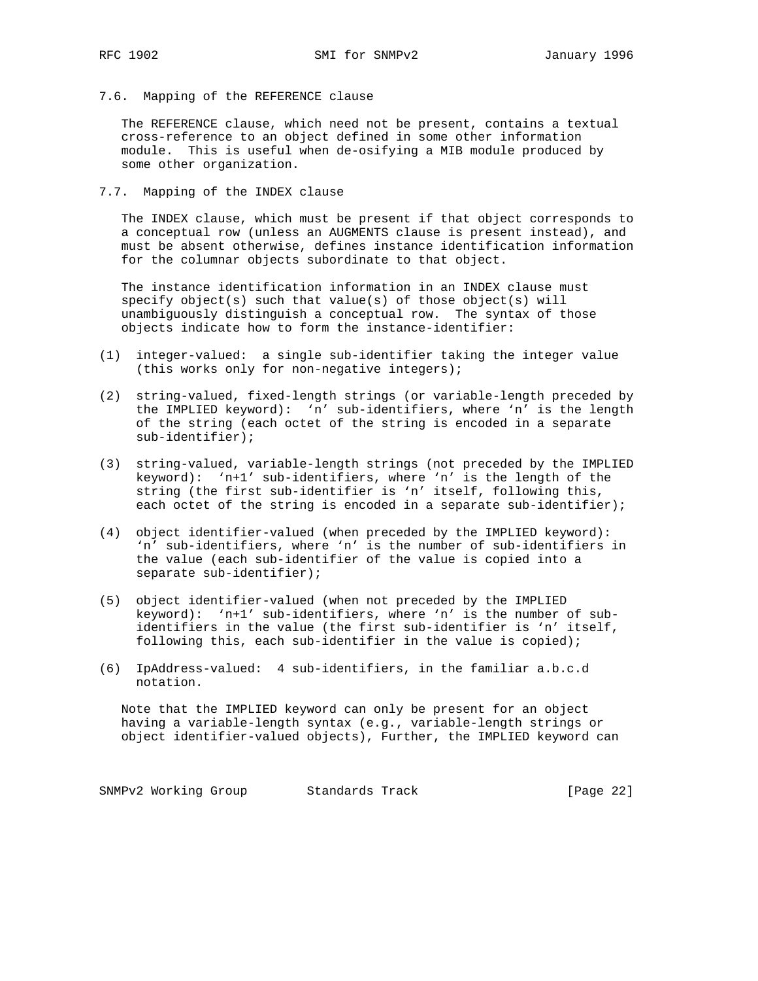7.6. Mapping of the REFERENCE clause

 The REFERENCE clause, which need not be present, contains a textual cross-reference to an object defined in some other information module. This is useful when de-osifying a MIB module produced by some other organization.

7.7. Mapping of the INDEX clause

 The INDEX clause, which must be present if that object corresponds to a conceptual row (unless an AUGMENTS clause is present instead), and must be absent otherwise, defines instance identification information for the columnar objects subordinate to that object.

 The instance identification information in an INDEX clause must specify object(s) such that value(s) of those object(s) will unambiguously distinguish a conceptual row. The syntax of those objects indicate how to form the instance-identifier:

- (1) integer-valued: a single sub-identifier taking the integer value (this works only for non-negative integers);
- (2) string-valued, fixed-length strings (or variable-length preceded by the IMPLIED keyword): 'n' sub-identifiers, where 'n' is the length of the string (each octet of the string is encoded in a separate sub-identifier);
- (3) string-valued, variable-length strings (not preceded by the IMPLIED keyword): 'n+1' sub-identifiers, where 'n' is the length of the string (the first sub-identifier is 'n' itself, following this, each octet of the string is encoded in a separate sub-identifier);
- (4) object identifier-valued (when preceded by the IMPLIED keyword): 'n' sub-identifiers, where 'n' is the number of sub-identifiers in the value (each sub-identifier of the value is copied into a separate sub-identifier);
- (5) object identifier-valued (when not preceded by the IMPLIED keyword): 'n+1' sub-identifiers, where 'n' is the number of sub identifiers in the value (the first sub-identifier is 'n' itself, following this, each sub-identifier in the value is copied);
- (6) IpAddress-valued: 4 sub-identifiers, in the familiar a.b.c.d notation.

 Note that the IMPLIED keyword can only be present for an object having a variable-length syntax (e.g., variable-length strings or object identifier-valued objects), Further, the IMPLIED keyword can

SNMPv2 Working Group Standards Track [Page 22]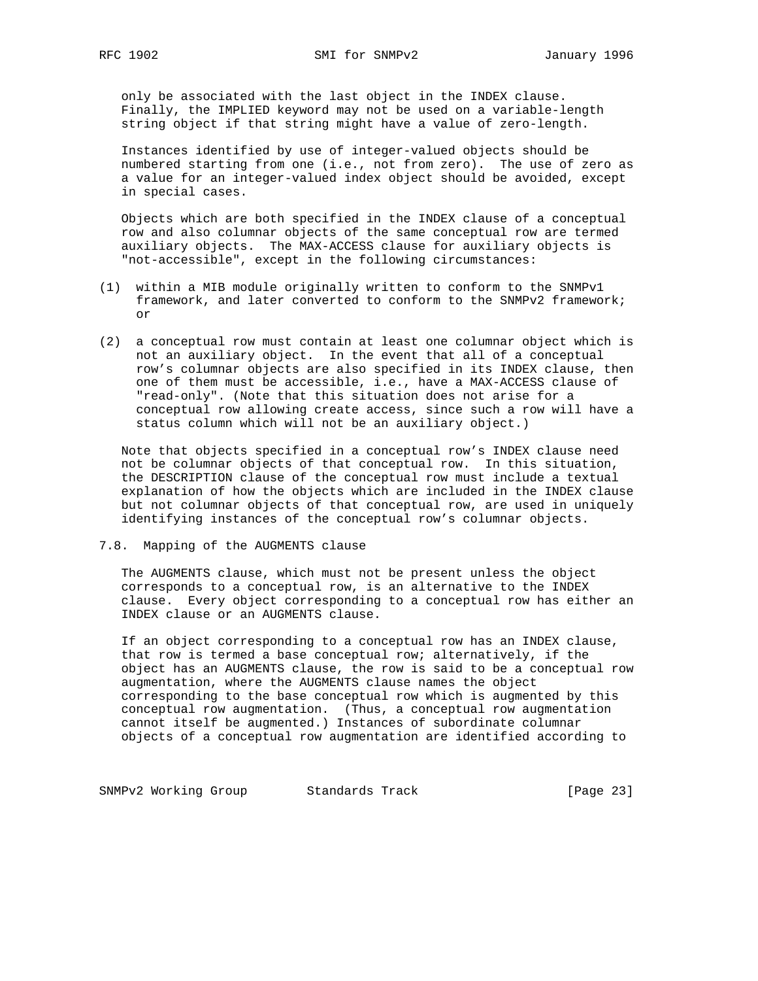only be associated with the last object in the INDEX clause. Finally, the IMPLIED keyword may not be used on a variable-length string object if that string might have a value of zero-length.

 Instances identified by use of integer-valued objects should be numbered starting from one (i.e., not from zero). The use of zero as a value for an integer-valued index object should be avoided, except in special cases.

 Objects which are both specified in the INDEX clause of a conceptual row and also columnar objects of the same conceptual row are termed auxiliary objects. The MAX-ACCESS clause for auxiliary objects is "not-accessible", except in the following circumstances:

- (1) within a MIB module originally written to conform to the SNMPv1 framework, and later converted to conform to the SNMPv2 framework; or
- (2) a conceptual row must contain at least one columnar object which is not an auxiliary object. In the event that all of a conceptual row's columnar objects are also specified in its INDEX clause, then one of them must be accessible, i.e., have a MAX-ACCESS clause of "read-only". (Note that this situation does not arise for a conceptual row allowing create access, since such a row will have a status column which will not be an auxiliary object.)

 Note that objects specified in a conceptual row's INDEX clause need not be columnar objects of that conceptual row. In this situation, the DESCRIPTION clause of the conceptual row must include a textual explanation of how the objects which are included in the INDEX clause but not columnar objects of that conceptual row, are used in uniquely identifying instances of the conceptual row's columnar objects.

### 7.8. Mapping of the AUGMENTS clause

 The AUGMENTS clause, which must not be present unless the object corresponds to a conceptual row, is an alternative to the INDEX clause. Every object corresponding to a conceptual row has either an INDEX clause or an AUGMENTS clause.

 If an object corresponding to a conceptual row has an INDEX clause, that row is termed a base conceptual row; alternatively, if the object has an AUGMENTS clause, the row is said to be a conceptual row augmentation, where the AUGMENTS clause names the object corresponding to the base conceptual row which is augmented by this conceptual row augmentation. (Thus, a conceptual row augmentation cannot itself be augmented.) Instances of subordinate columnar objects of a conceptual row augmentation are identified according to

SNMPv2 Working Group Standards Track [Page 23]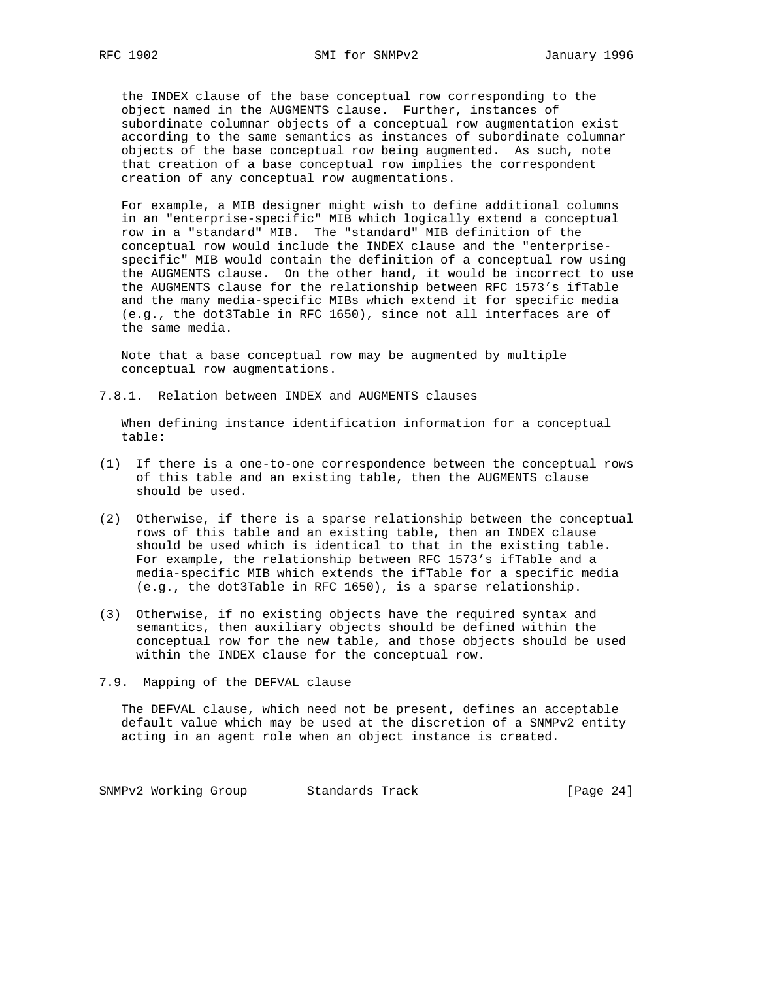the INDEX clause of the base conceptual row corresponding to the object named in the AUGMENTS clause. Further, instances of subordinate columnar objects of a conceptual row augmentation exist according to the same semantics as instances of subordinate columnar objects of the base conceptual row being augmented. As such, note that creation of a base conceptual row implies the correspondent creation of any conceptual row augmentations.

 For example, a MIB designer might wish to define additional columns in an "enterprise-specific" MIB which logically extend a conceptual row in a "standard" MIB. The "standard" MIB definition of the conceptual row would include the INDEX clause and the "enterprise specific" MIB would contain the definition of a conceptual row using the AUGMENTS clause. On the other hand, it would be incorrect to use the AUGMENTS clause for the relationship between RFC 1573's ifTable and the many media-specific MIBs which extend it for specific media (e.g., the dot3Table in RFC 1650), since not all interfaces are of the same media.

 Note that a base conceptual row may be augmented by multiple conceptual row augmentations.

7.8.1. Relation between INDEX and AUGMENTS clauses

 When defining instance identification information for a conceptual table:

- (1) If there is a one-to-one correspondence between the conceptual rows of this table and an existing table, then the AUGMENTS clause should be used.
- (2) Otherwise, if there is a sparse relationship between the conceptual rows of this table and an existing table, then an INDEX clause should be used which is identical to that in the existing table. For example, the relationship between RFC 1573's ifTable and a media-specific MIB which extends the ifTable for a specific media (e.g., the dot3Table in RFC 1650), is a sparse relationship.
- (3) Otherwise, if no existing objects have the required syntax and semantics, then auxiliary objects should be defined within the conceptual row for the new table, and those objects should be used within the INDEX clause for the conceptual row.
- 7.9. Mapping of the DEFVAL clause

 The DEFVAL clause, which need not be present, defines an acceptable default value which may be used at the discretion of a SNMPv2 entity acting in an agent role when an object instance is created.

SNMPv2 Working Group Standards Track [Page 24]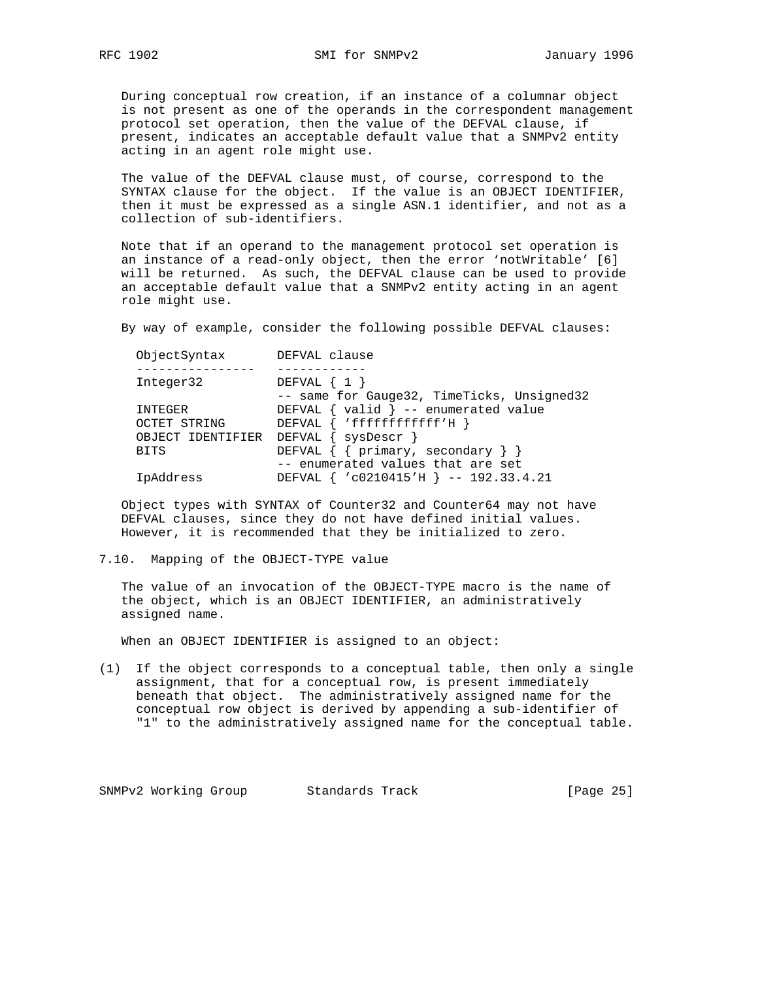During conceptual row creation, if an instance of a columnar object is not present as one of the operands in the correspondent management protocol set operation, then the value of the DEFVAL clause, if present, indicates an acceptable default value that a SNMPv2 entity acting in an agent role might use.

 The value of the DEFVAL clause must, of course, correspond to the SYNTAX clause for the object. If the value is an OBJECT IDENTIFIER, then it must be expressed as a single ASN.1 identifier, and not as a collection of sub-identifiers.

 Note that if an operand to the management protocol set operation is an instance of a read-only object, then the error 'notWritable' [6] will be returned. As such, the DEFVAL clause can be used to provide an acceptable default value that a SNMPv2 entity acting in an agent role might use.

By way of example, consider the following possible DEFVAL clauses:

| ObjectSyntax        | DEFVAL clause                              |
|---------------------|--------------------------------------------|
|                     |                                            |
| Integer32           | DEFVAL $\{ 1 \}$                           |
|                     | -- same for Gauge32, TimeTicks, Unsigned32 |
| INTEGER             | DEFVAL { valid } -- enumerated value       |
| <b>OCTET STRING</b> | DEFVAL { 'ffffffffffff'H }                 |
| OBJECT IDENTIFIER   | DEFVAL { sysDescr                          |
| <b>BITS</b>         | DEFVAL $\{ \}$ primary, secondary $\}$     |
|                     | -- enumerated values that are set          |
| IpAddress           | DEFVAL { 'c0210415'H } -- 192.33.4.21      |

 Object types with SYNTAX of Counter32 and Counter64 may not have DEFVAL clauses, since they do not have defined initial values. However, it is recommended that they be initialized to zero.

#### 7.10. Mapping of the OBJECT-TYPE value

 The value of an invocation of the OBJECT-TYPE macro is the name of the object, which is an OBJECT IDENTIFIER, an administratively assigned name.

When an OBJECT IDENTIFIER is assigned to an object:

(1) If the object corresponds to a conceptual table, then only a single assignment, that for a conceptual row, is present immediately beneath that object. The administratively assigned name for the conceptual row object is derived by appending a sub-identifier of "1" to the administratively assigned name for the conceptual table.

SNMPv2 Working Group Standards Track [Page 25]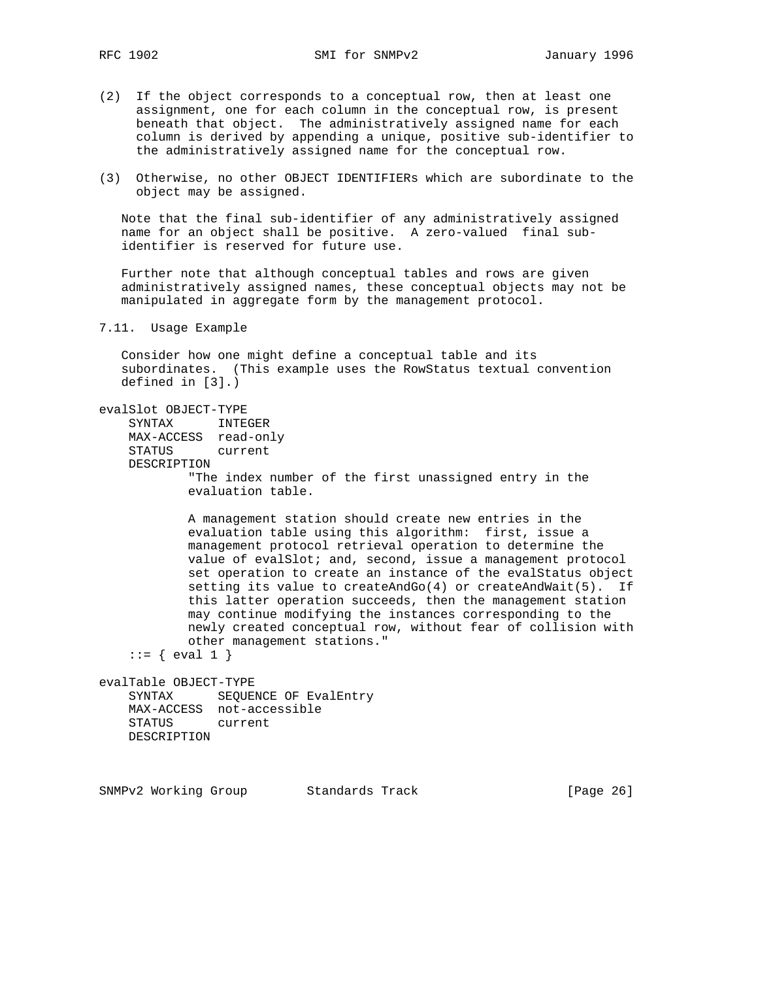- (2) If the object corresponds to a conceptual row, then at least one assignment, one for each column in the conceptual row, is present beneath that object. The administratively assigned name for each column is derived by appending a unique, positive sub-identifier to the administratively assigned name for the conceptual row.
- (3) Otherwise, no other OBJECT IDENTIFIERs which are subordinate to the object may be assigned.

 Note that the final sub-identifier of any administratively assigned name for an object shall be positive. A zero-valued final sub identifier is reserved for future use.

 Further note that although conceptual tables and rows are given administratively assigned names, these conceptual objects may not be manipulated in aggregate form by the management protocol.

7.11. Usage Example

 Consider how one might define a conceptual table and its subordinates. (This example uses the RowStatus textual convention defined in [3].)

evalSlot OBJECT-TYPE

 SYNTAX INTEGER MAX-ACCESS read-only STATUS current DESCRIPTION "The index number of the first unassigned entry in the evaluation table.

> A management station should create new entries in the evaluation table using this algorithm: first, issue a management protocol retrieval operation to determine the value of evalSlot; and, second, issue a management protocol set operation to create an instance of the evalStatus object setting its value to createAndGo(4) or createAndWait(5). If this latter operation succeeds, then the management station may continue modifying the instances corresponding to the newly created conceptual row, without fear of collision with other management stations."

::= { eval 1 }

evalTable OBJECT-TYPE SYNTAX SEQUENCE OF EvalEntry MAX-ACCESS not-accessible STATUS current DESCRIPTION

SNMPv2 Working Group Standards Track [Page 26]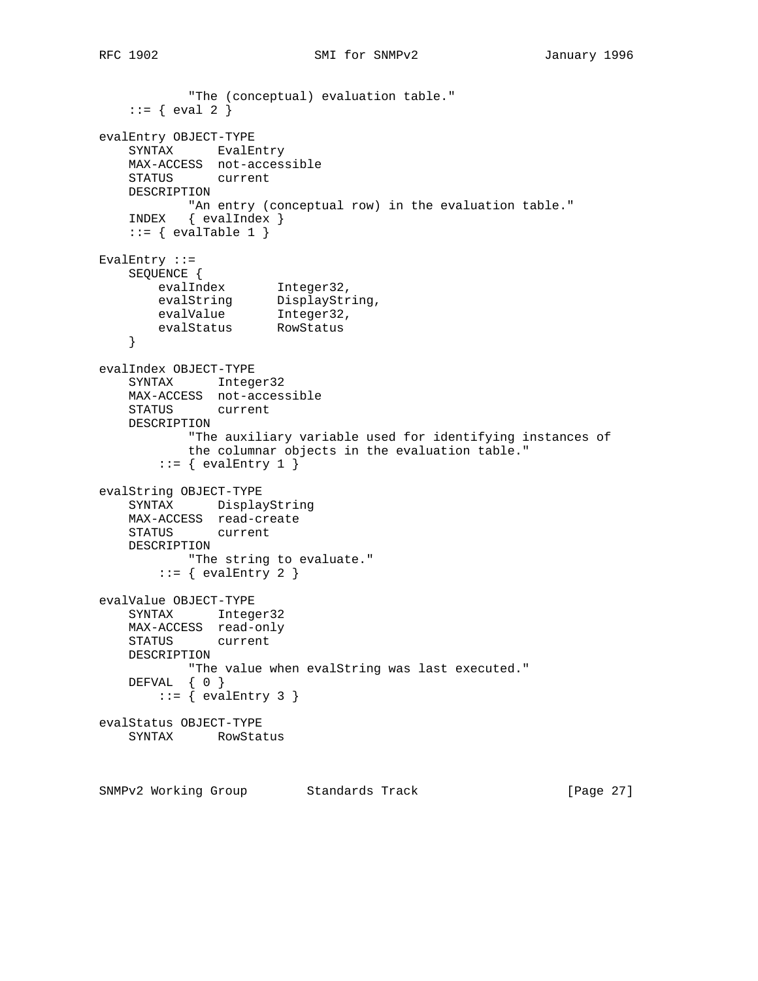```
 "The (conceptual) evaluation table."
   ::= { eval 2 }
evalEntry OBJECT-TYPE
    SYNTAX EvalEntry
    MAX-ACCESS not-accessible
    STATUS current
    DESCRIPTION
           "An entry (conceptual row) in the evaluation table."
    INDEX { evalIndex }
   ::= { evalTable 1 }
EvalEntry ::=
    SEQUENCE {
evalIndex Integer32,
 evalString DisplayString,
evalValue Integer32,
 evalStatus RowStatus
    }
evalIndex OBJECT-TYPE
    SYNTAX Integer32
    MAX-ACCESS not-accessible
    STATUS current
    DESCRIPTION
           "The auxiliary variable used for identifying instances of
            the columnar objects in the evaluation table."
       ::= { evalEntry 1 }
evalString OBJECT-TYPE
    SYNTAX DisplayString
    MAX-ACCESS read-create
    STATUS current
    DESCRIPTION
          "The string to evaluate."
       ::= { evalEntry 2 }
evalValue OBJECT-TYPE
    SYNTAX Integer32
    MAX-ACCESS read-only
    STATUS current
    DESCRIPTION
       "The value when evalString was last executed."
    DEFVAL { 0 }
     ::= { evalEntry 3 }
evalStatus OBJECT-TYPE
    SYNTAX RowStatus
```
SNMPv2 Working Group Standards Track [Page 27]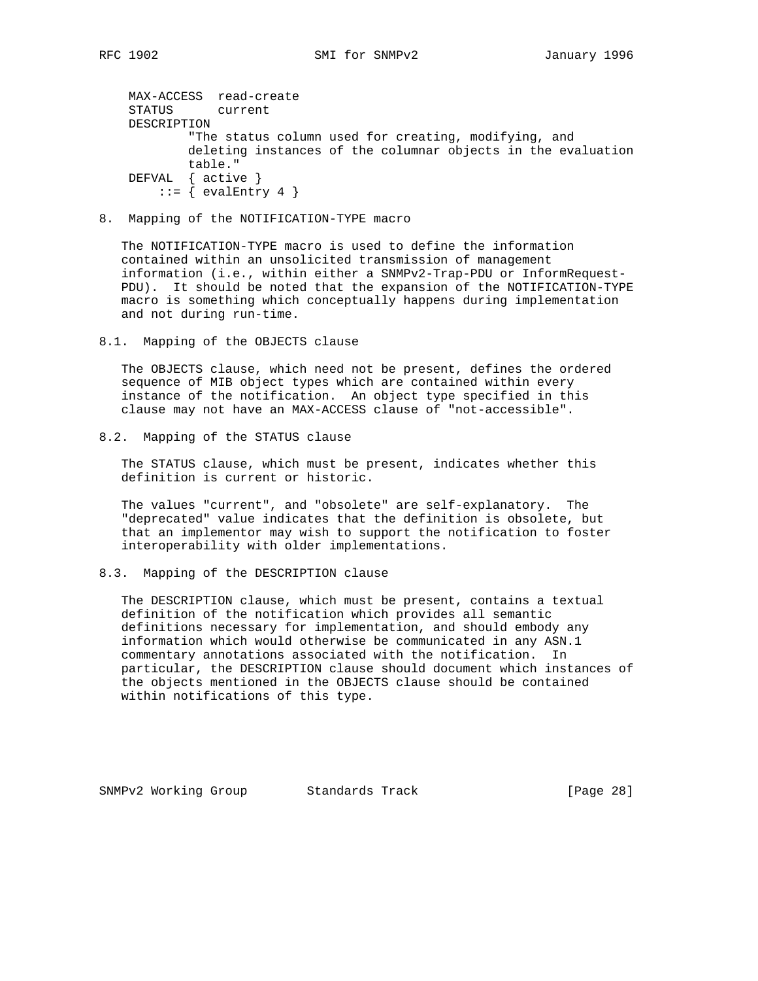```
 MAX-ACCESS read-create
 STATUS current
 DESCRIPTION
         "The status column used for creating, modifying, and
         deleting instances of the columnar objects in the evaluation
        table."
 DEFVAL { active }
  \cdot \cdot = \{ evalEntry 4 \}
```
8. Mapping of the NOTIFICATION-TYPE macro

 The NOTIFICATION-TYPE macro is used to define the information contained within an unsolicited transmission of management information (i.e., within either a SNMPv2-Trap-PDU or InformRequest- PDU). It should be noted that the expansion of the NOTIFICATION-TYPE macro is something which conceptually happens during implementation and not during run-time.

8.1. Mapping of the OBJECTS clause

 The OBJECTS clause, which need not be present, defines the ordered sequence of MIB object types which are contained within every instance of the notification. An object type specified in this clause may not have an MAX-ACCESS clause of "not-accessible".

8.2. Mapping of the STATUS clause

 The STATUS clause, which must be present, indicates whether this definition is current or historic.

 The values "current", and "obsolete" are self-explanatory. The "deprecated" value indicates that the definition is obsolete, but that an implementor may wish to support the notification to foster interoperability with older implementations.

8.3. Mapping of the DESCRIPTION clause

 The DESCRIPTION clause, which must be present, contains a textual definition of the notification which provides all semantic definitions necessary for implementation, and should embody any information which would otherwise be communicated in any ASN.1 commentary annotations associated with the notification. In particular, the DESCRIPTION clause should document which instances of the objects mentioned in the OBJECTS clause should be contained within notifications of this type.

SNMPv2 Working Group Standards Track [Page 28]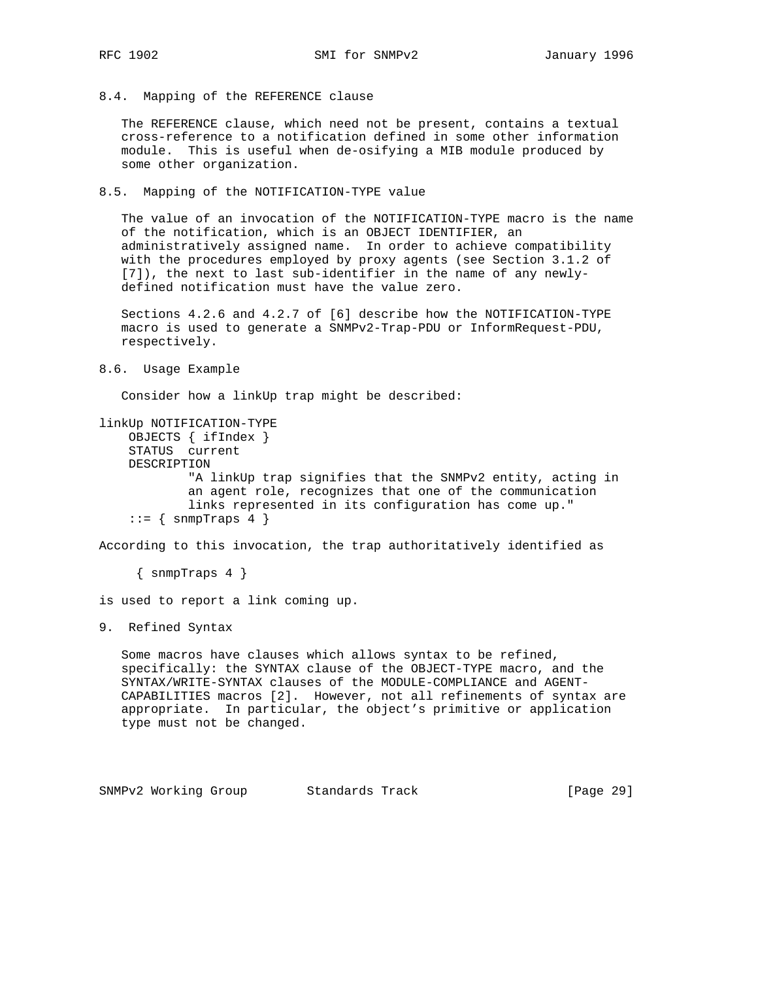8.4. Mapping of the REFERENCE clause

 The REFERENCE clause, which need not be present, contains a textual cross-reference to a notification defined in some other information module. This is useful when de-osifying a MIB module produced by some other organization.

8.5. Mapping of the NOTIFICATION-TYPE value

 The value of an invocation of the NOTIFICATION-TYPE macro is the name of the notification, which is an OBJECT IDENTIFIER, an administratively assigned name. In order to achieve compatibility with the procedures employed by proxy agents (see Section 3.1.2 of [7]), the next to last sub-identifier in the name of any newly defined notification must have the value zero.

 Sections 4.2.6 and 4.2.7 of [6] describe how the NOTIFICATION-TYPE macro is used to generate a SNMPv2-Trap-PDU or InformRequest-PDU, respectively.

8.6. Usage Example

Consider how a linkUp trap might be described:

linkUp NOTIFICATION-TYPE OBJECTS { ifIndex } STATUS current DESCRIPTION "A linkUp trap signifies that the SNMPv2 entity, acting in an agent role, recognizes that one of the communication links represented in its configuration has come up."  $::=$  { snmpTraps 4 }

According to this invocation, the trap authoritatively identified as

{ snmpTraps 4 }

is used to report a link coming up.

9. Refined Syntax

 Some macros have clauses which allows syntax to be refined, specifically: the SYNTAX clause of the OBJECT-TYPE macro, and the SYNTAX/WRITE-SYNTAX clauses of the MODULE-COMPLIANCE and AGENT- CAPABILITIES macros [2]. However, not all refinements of syntax are appropriate. In particular, the object's primitive or application type must not be changed.

SNMPv2 Working Group Standards Track [Page 29]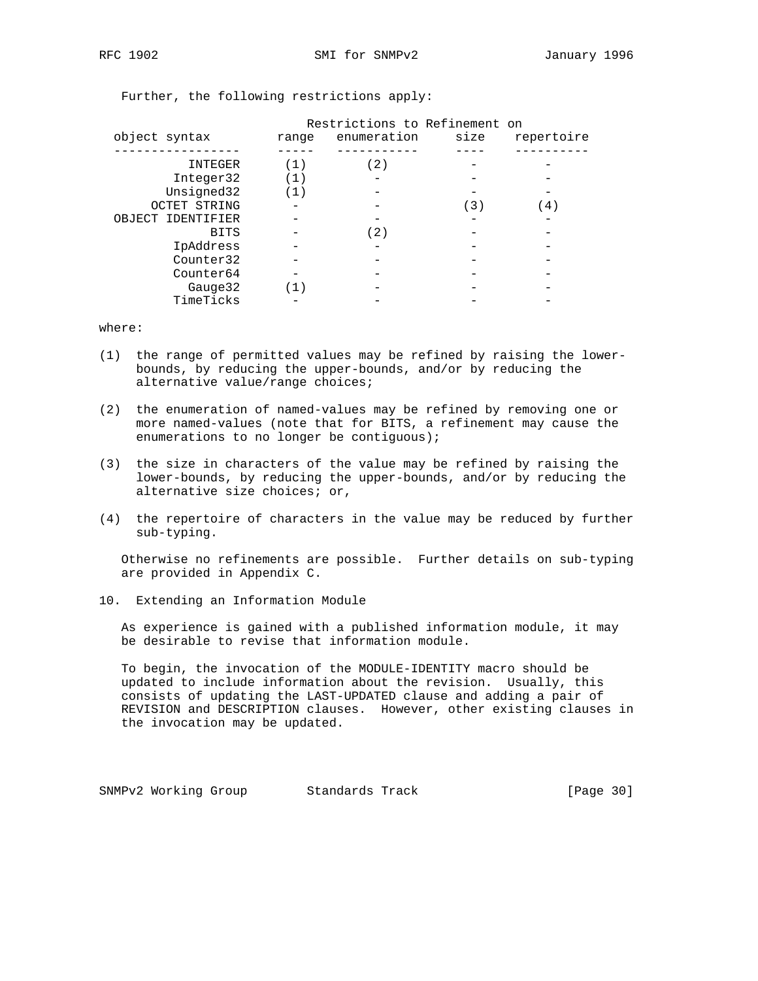Restrictions to Refinement on object syntax range enumeration size repertoire ----------------- ----- ----------- ---- ----------  $\texttt{INTER}$  (1) (2) - -Integer32  $(1)$  - - - -Unsigned32 (1) - - - - - -OCTET STRING  $(3)$   $(4)$  OBJECT IDENTIFIER - - - -  $\text{BITS}$  - (2) - - IpAddress - - - - Counter32 - - - - - - - - $Counter64$  - - - - - - - $Gauge32$   $(1)$  - - - - -TimeTicks - - - -

Further, the following restrictions apply:

where:

- (1) the range of permitted values may be refined by raising the lower bounds, by reducing the upper-bounds, and/or by reducing the alternative value/range choices;
- (2) the enumeration of named-values may be refined by removing one or more named-values (note that for BITS, a refinement may cause the enumerations to no longer be contiguous);
- (3) the size in characters of the value may be refined by raising the lower-bounds, by reducing the upper-bounds, and/or by reducing the alternative size choices; or,
- (4) the repertoire of characters in the value may be reduced by further sub-typing.

 Otherwise no refinements are possible. Further details on sub-typing are provided in Appendix C.

10. Extending an Information Module

 As experience is gained with a published information module, it may be desirable to revise that information module.

 To begin, the invocation of the MODULE-IDENTITY macro should be updated to include information about the revision. Usually, this consists of updating the LAST-UPDATED clause and adding a pair of REVISION and DESCRIPTION clauses. However, other existing clauses in the invocation may be updated.

SNMPv2 Working Group Standards Track [Page 30]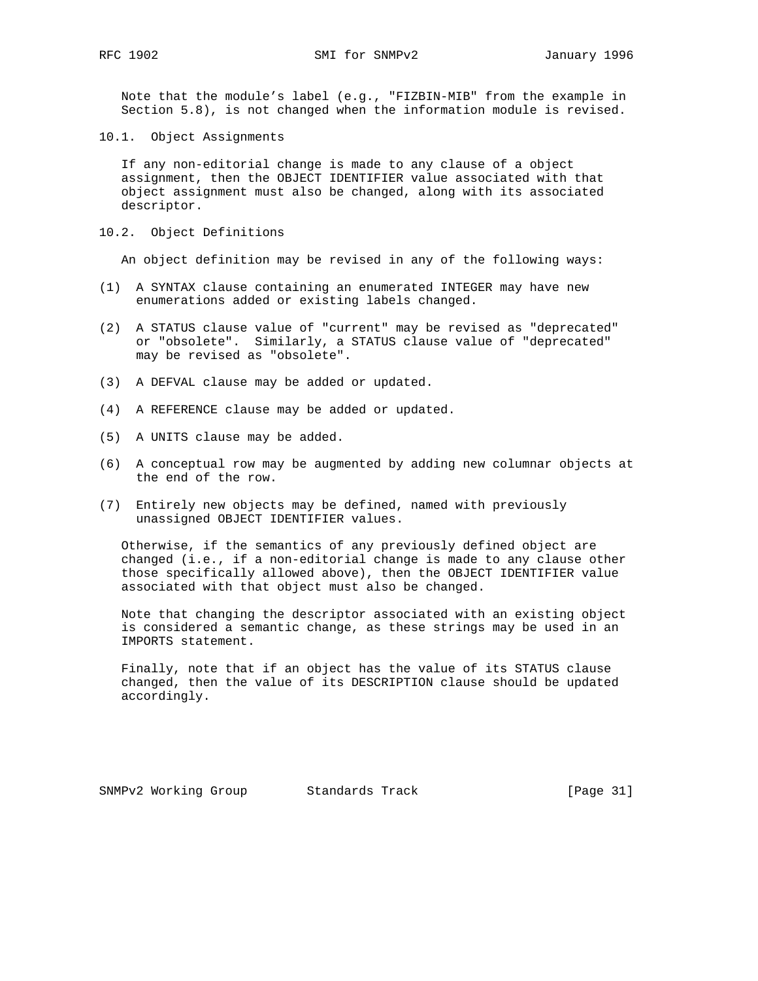Note that the module's label (e.g., "FIZBIN-MIB" from the example in Section 5.8), is not changed when the information module is revised.

10.1. Object Assignments

 If any non-editorial change is made to any clause of a object assignment, then the OBJECT IDENTIFIER value associated with that object assignment must also be changed, along with its associated descriptor.

10.2. Object Definitions

An object definition may be revised in any of the following ways:

- (1) A SYNTAX clause containing an enumerated INTEGER may have new enumerations added or existing labels changed.
- (2) A STATUS clause value of "current" may be revised as "deprecated" or "obsolete". Similarly, a STATUS clause value of "deprecated" may be revised as "obsolete".
- (3) A DEFVAL clause may be added or updated.
- (4) A REFERENCE clause may be added or updated.
- (5) A UNITS clause may be added.
- (6) A conceptual row may be augmented by adding new columnar objects at the end of the row.
- (7) Entirely new objects may be defined, named with previously unassigned OBJECT IDENTIFIER values.

 Otherwise, if the semantics of any previously defined object are changed (i.e., if a non-editorial change is made to any clause other those specifically allowed above), then the OBJECT IDENTIFIER value associated with that object must also be changed.

 Note that changing the descriptor associated with an existing object is considered a semantic change, as these strings may be used in an IMPORTS statement.

 Finally, note that if an object has the value of its STATUS clause changed, then the value of its DESCRIPTION clause should be updated accordingly.

SNMPv2 Working Group Standards Track [Page 31]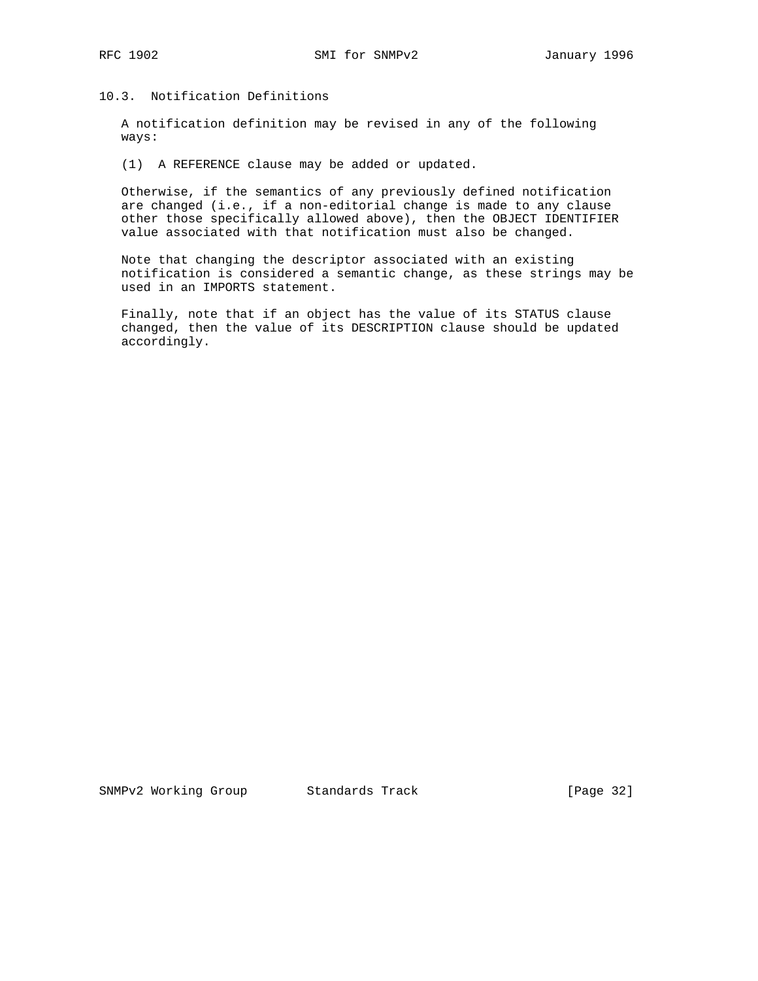# 10.3. Notification Definitions

 A notification definition may be revised in any of the following ways:

(1) A REFERENCE clause may be added or updated.

 Otherwise, if the semantics of any previously defined notification are changed (i.e., if a non-editorial change is made to any clause other those specifically allowed above), then the OBJECT IDENTIFIER value associated with that notification must also be changed.

 Note that changing the descriptor associated with an existing notification is considered a semantic change, as these strings may be used in an IMPORTS statement.

 Finally, note that if an object has the value of its STATUS clause changed, then the value of its DESCRIPTION clause should be updated accordingly.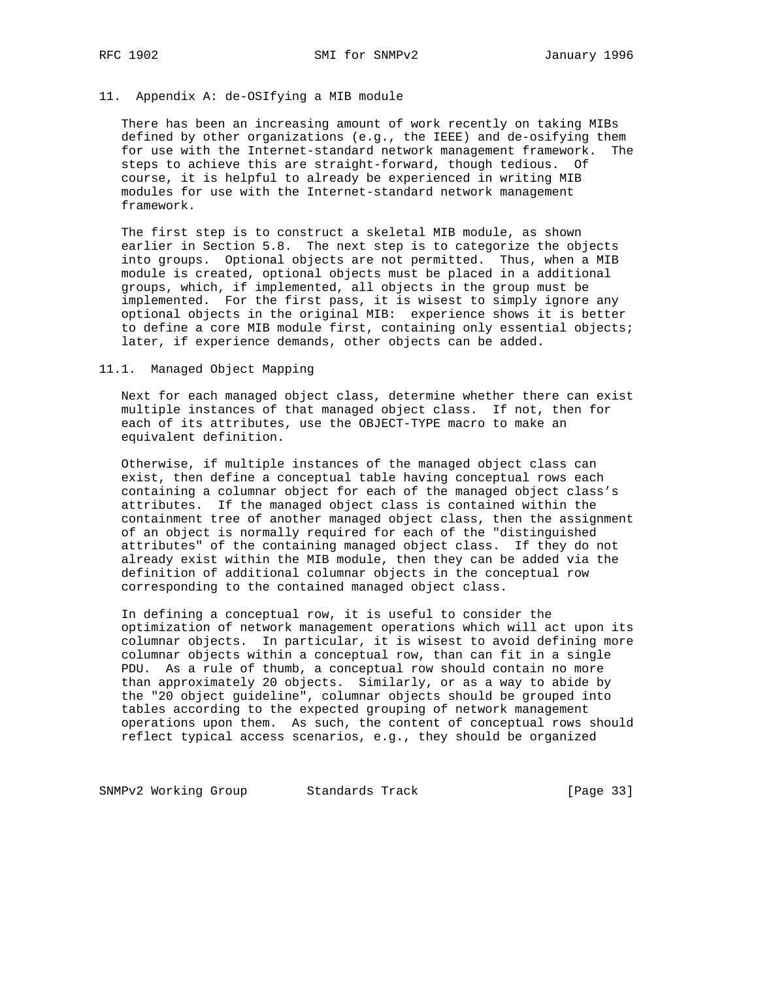## 11. Appendix A: de-OSIfying a MIB module

 There has been an increasing amount of work recently on taking MIBs defined by other organizations (e.g., the IEEE) and de-osifying them for use with the Internet-standard network management framework. The steps to achieve this are straight-forward, though tedious. Of course, it is helpful to already be experienced in writing MIB modules for use with the Internet-standard network management framework.

 The first step is to construct a skeletal MIB module, as shown earlier in Section 5.8. The next step is to categorize the objects into groups. Optional objects are not permitted. Thus, when a MIB module is created, optional objects must be placed in a additional groups, which, if implemented, all objects in the group must be implemented. For the first pass, it is wisest to simply ignore any optional objects in the original MIB: experience shows it is better to define a core MIB module first, containing only essential objects; later, if experience demands, other objects can be added.

#### 11.1. Managed Object Mapping

 Next for each managed object class, determine whether there can exist multiple instances of that managed object class. If not, then for each of its attributes, use the OBJECT-TYPE macro to make an equivalent definition.

 Otherwise, if multiple instances of the managed object class can exist, then define a conceptual table having conceptual rows each containing a columnar object for each of the managed object class's attributes. If the managed object class is contained within the containment tree of another managed object class, then the assignment of an object is normally required for each of the "distinguished attributes" of the containing managed object class. If they do not already exist within the MIB module, then they can be added via the definition of additional columnar objects in the conceptual row corresponding to the contained managed object class.

 In defining a conceptual row, it is useful to consider the optimization of network management operations which will act upon its columnar objects. In particular, it is wisest to avoid defining more columnar objects within a conceptual row, than can fit in a single PDU. As a rule of thumb, a conceptual row should contain no more than approximately 20 objects. Similarly, or as a way to abide by the "20 object guideline", columnar objects should be grouped into tables according to the expected grouping of network management operations upon them. As such, the content of conceptual rows should reflect typical access scenarios, e.g., they should be organized

SNMPv2 Working Group Standards Track [Page 33]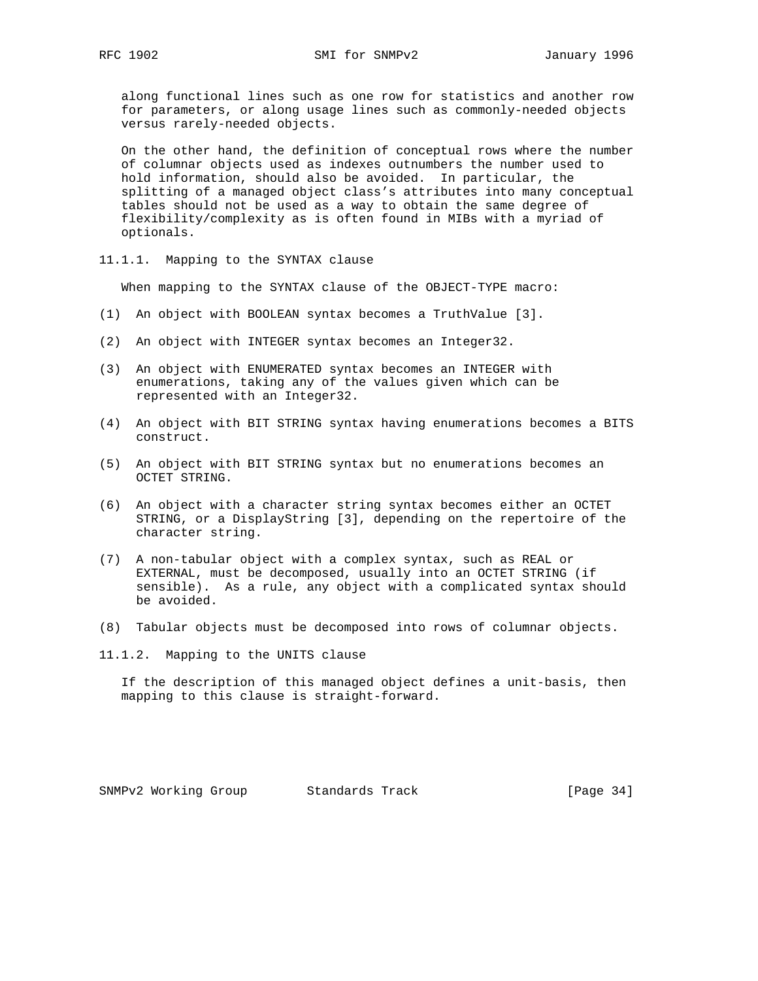along functional lines such as one row for statistics and another row for parameters, or along usage lines such as commonly-needed objects versus rarely-needed objects.

 On the other hand, the definition of conceptual rows where the number of columnar objects used as indexes outnumbers the number used to hold information, should also be avoided. In particular, the splitting of a managed object class's attributes into many conceptual tables should not be used as a way to obtain the same degree of flexibility/complexity as is often found in MIBs with a myriad of optionals.

11.1.1. Mapping to the SYNTAX clause

When mapping to the SYNTAX clause of the OBJECT-TYPE macro:

- (1) An object with BOOLEAN syntax becomes a TruthValue [3].
- (2) An object with INTEGER syntax becomes an Integer32.
- (3) An object with ENUMERATED syntax becomes an INTEGER with enumerations, taking any of the values given which can be represented with an Integer32.
- (4) An object with BIT STRING syntax having enumerations becomes a BITS construct.
- (5) An object with BIT STRING syntax but no enumerations becomes an OCTET STRING.
- (6) An object with a character string syntax becomes either an OCTET STRING, or a DisplayString [3], depending on the repertoire of the character string.
- (7) A non-tabular object with a complex syntax, such as REAL or EXTERNAL, must be decomposed, usually into an OCTET STRING (if sensible). As a rule, any object with a complicated syntax should be avoided.
- (8) Tabular objects must be decomposed into rows of columnar objects.

11.1.2. Mapping to the UNITS clause

 If the description of this managed object defines a unit-basis, then mapping to this clause is straight-forward.

SNMPv2 Working Group Standards Track [Page 34]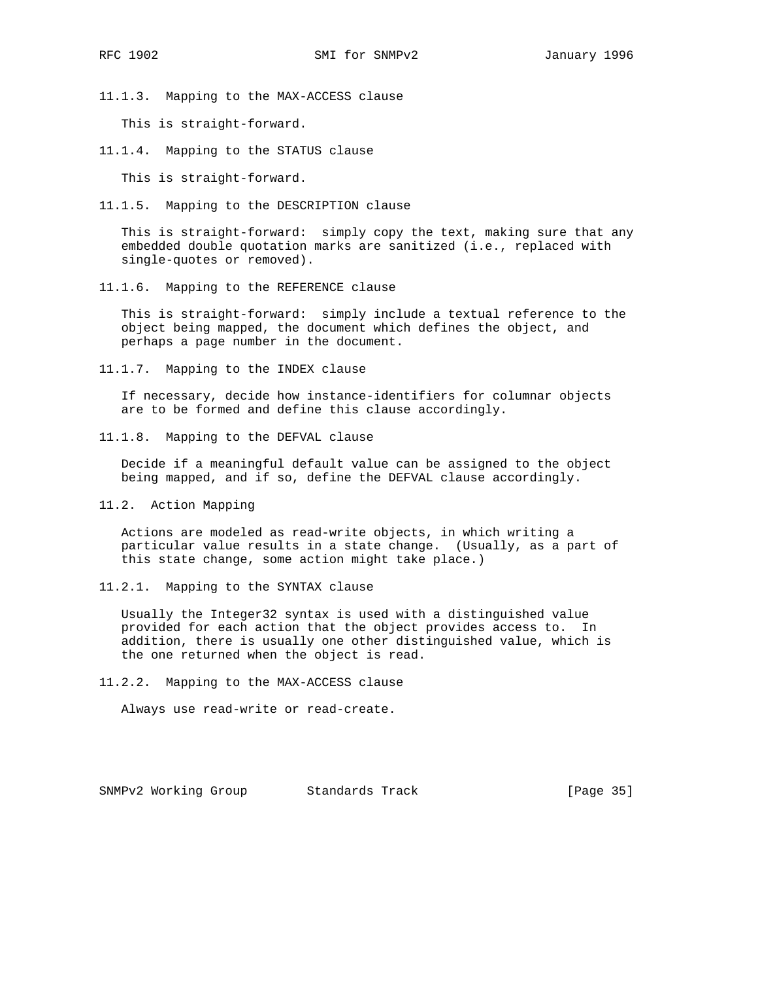11.1.3. Mapping to the MAX-ACCESS clause

This is straight-forward.

11.1.4. Mapping to the STATUS clause

This is straight-forward.

11.1.5. Mapping to the DESCRIPTION clause

 This is straight-forward: simply copy the text, making sure that any embedded double quotation marks are sanitized (i.e., replaced with single-quotes or removed).

11.1.6. Mapping to the REFERENCE clause

 This is straight-forward: simply include a textual reference to the object being mapped, the document which defines the object, and perhaps a page number in the document.

11.1.7. Mapping to the INDEX clause

 If necessary, decide how instance-identifiers for columnar objects are to be formed and define this clause accordingly.

11.1.8. Mapping to the DEFVAL clause

 Decide if a meaningful default value can be assigned to the object being mapped, and if so, define the DEFVAL clause accordingly.

11.2. Action Mapping

 Actions are modeled as read-write objects, in which writing a particular value results in a state change. (Usually, as a part of this state change, some action might take place.)

11.2.1. Mapping to the SYNTAX clause

 Usually the Integer32 syntax is used with a distinguished value provided for each action that the object provides access to. In addition, there is usually one other distinguished value, which is the one returned when the object is read.

11.2.2. Mapping to the MAX-ACCESS clause

Always use read-write or read-create.

SNMPv2 Working Group Standards Track [Page 35]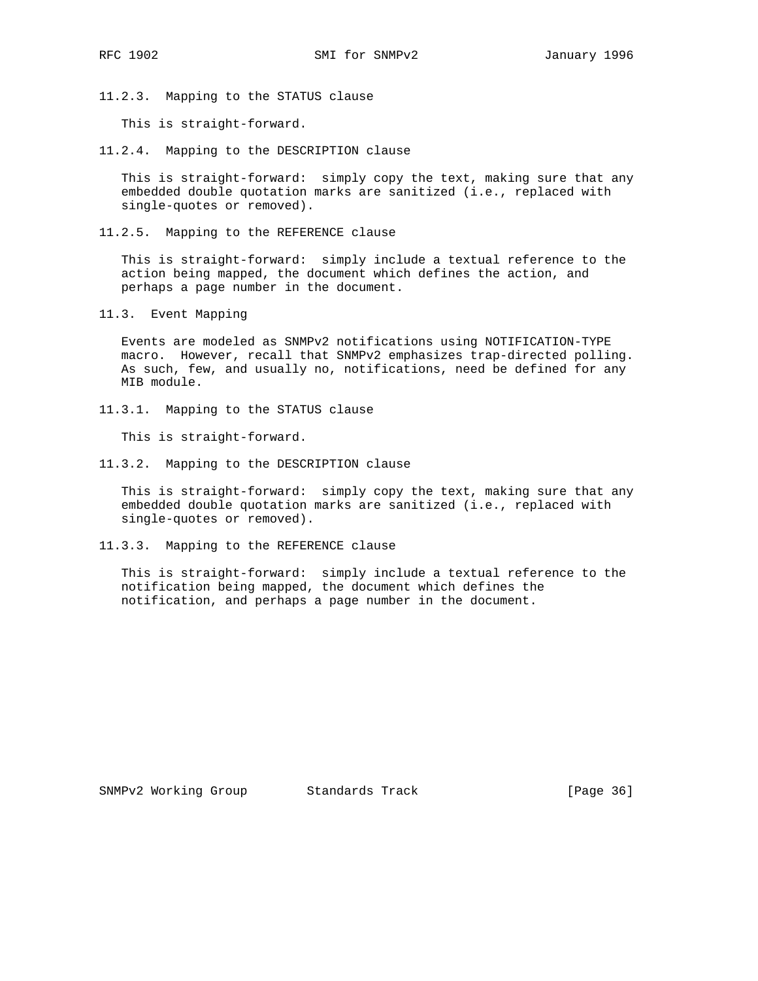11.2.3. Mapping to the STATUS clause

This is straight-forward.

11.2.4. Mapping to the DESCRIPTION clause

 This is straight-forward: simply copy the text, making sure that any embedded double quotation marks are sanitized (i.e., replaced with single-quotes or removed).

11.2.5. Mapping to the REFERENCE clause

 This is straight-forward: simply include a textual reference to the action being mapped, the document which defines the action, and perhaps a page number in the document.

11.3. Event Mapping

 Events are modeled as SNMPv2 notifications using NOTIFICATION-TYPE macro. However, recall that SNMPv2 emphasizes trap-directed polling. As such, few, and usually no, notifications, need be defined for any MIB module.

11.3.1. Mapping to the STATUS clause

This is straight-forward.

11.3.2. Mapping to the DESCRIPTION clause

 This is straight-forward: simply copy the text, making sure that any embedded double quotation marks are sanitized (i.e., replaced with single-quotes or removed).

11.3.3. Mapping to the REFERENCE clause

 This is straight-forward: simply include a textual reference to the notification being mapped, the document which defines the notification, and perhaps a page number in the document.

SNMPv2 Working Group Standards Track [Page 36]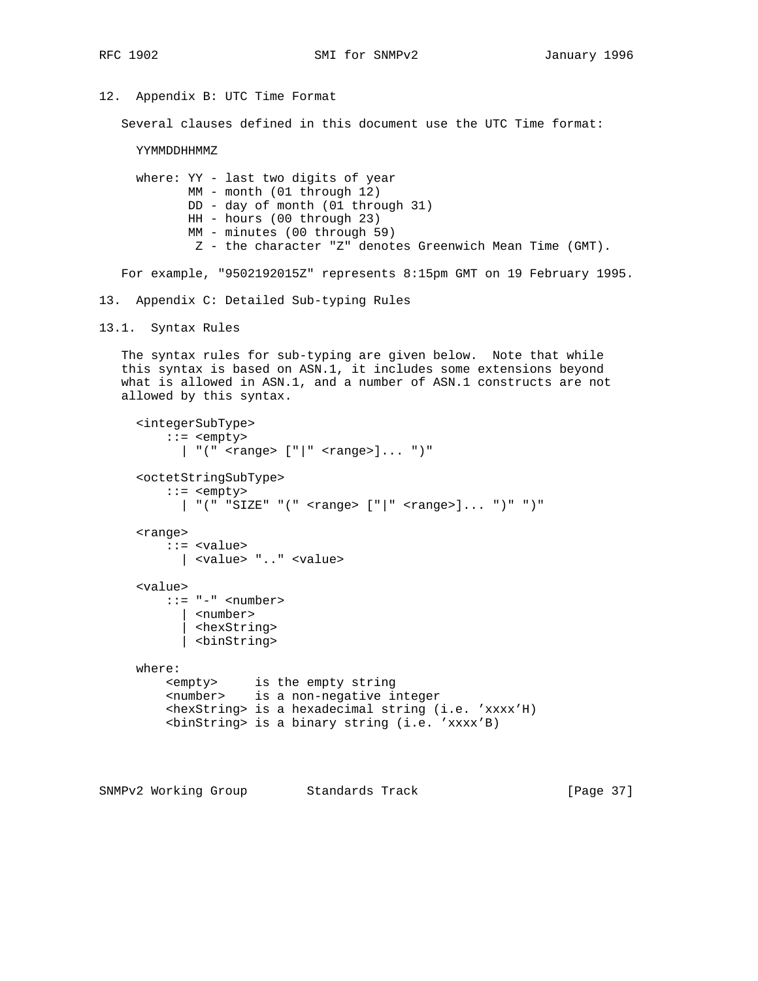12. Appendix B: UTC Time Format

Several clauses defined in this document use the UTC Time format:

YYMMDDHHMMZ

 where: YY - last two digits of year MM - month (01 through 12) DD - day of month (01 through 31) HH - hours (00 through 23) MM - minutes (00 through 59) Z - the character "Z" denotes Greenwich Mean Time (GMT).

For example, "9502192015Z" represents 8:15pm GMT on 19 February 1995.

13. Appendix C: Detailed Sub-typing Rules

```
13.1. Syntax Rules
```
 The syntax rules for sub-typing are given below. Note that while this syntax is based on ASN.1, it includes some extensions beyond what is allowed in ASN.1, and a number of ASN.1 constructs are not allowed by this syntax.

```
 <integerSubType>
     ::= <empty>
      | "(" <range> ["|" <range>]... ")"
 <octetStringSubType>
     ::= <empty>
      | "(" "SIZE" "(" <range> ["|" <range>]... ")" ")"
 <range>
     ::= <value>
      | <value> ".." <value>
 <value>
     ::= "-" <number>
       | <number>
       | <hexString>
      | <binString>
 where:
     <empty> is the empty string
     <number> is a non-negative integer
     <hexString> is a hexadecimal string (i.e. 'xxxx'H)
     <binString> is a binary string (i.e. 'xxxx'B)
```
SNMPv2 Working Group Standards Track [Page 37]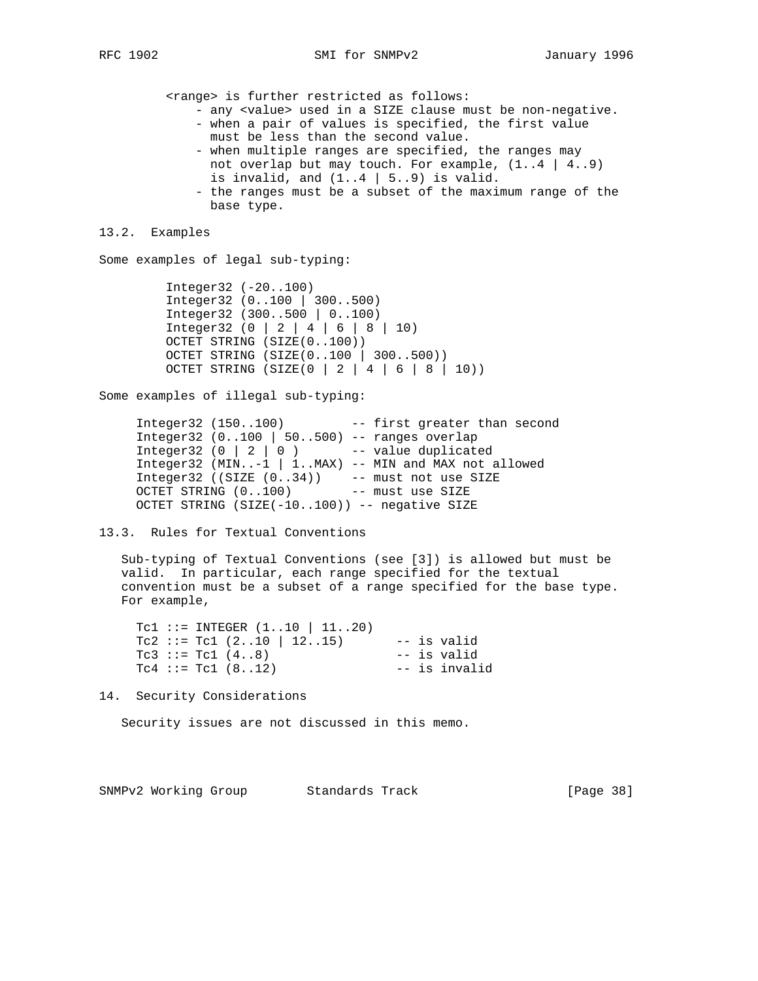<range> is further restricted as follows:

- any <value> used in a SIZE clause must be non-negative. - when a pair of values is specified, the first value
	- must be less than the second value.
	- when multiple ranges are specified, the ranges may not overlap but may touch. For example,  $(1..4 | 4..9)$ is invalid, and  $(1..4 \mid 5..9)$  is valid.
	- the ranges must be a subset of the maximum range of the base type.

#### 13.2. Examples

Some examples of legal sub-typing:

 Integer32 (-20..100) Integer32 (0..100 | 300..500) Integer32 (300..500 | 0..100) Integer32 (0 | 2 | 4 | 6 | 8 | 10) OCTET STRING (SIZE(0..100)) OCTET STRING (SIZE(0..100 | 300..500)) OCTET STRING (SIZE(0 | 2 | 4 | 6 | 8 | 10))

Some examples of illegal sub-typing:

 Integer32 (150..100) -- first greater than second Integer32 (0..100 | 50..500) -- ranges overlap Integer32 (0 | 2 | 0 ) -- value duplicated Integer32 (MIN..-1 | 1..MAX) -- MIN and MAX not allowed Integer32 ((SIZE (0..34)) -- must not use SIZE OCTET STRING (0..100) -- must use SIZE OCTET STRING (SIZE(-10..100)) -- negative SIZE

13.3. Rules for Textual Conventions

 Sub-typing of Textual Conventions (see [3]) is allowed but must be valid. In particular, each range specified for the textual convention must be a subset of a range specified for the base type. For example,

| $Tc1 ::= INTER (110   1120)$  |               |
|-------------------------------|---------------|
| Tc2 ::= Tc1 $(210 \mid 1215)$ | -- is valid   |
| Tc3 ::= Tc1 $(48)$            | -- is valid   |
| $Tc4 :: = Tc1 (812)$          | -- is invalid |

14. Security Considerations

Security issues are not discussed in this memo.

SNMPv2 Working Group Standards Track [Page 38]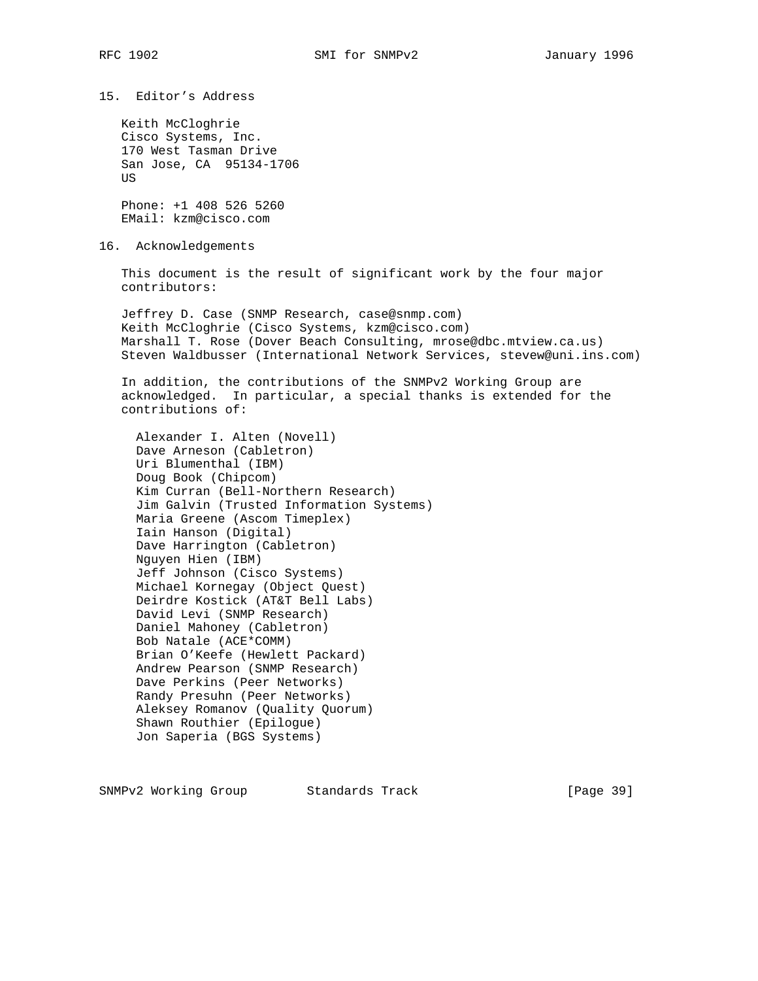15. Editor's Address

 Keith McCloghrie Cisco Systems, Inc. 170 West Tasman Drive San Jose, CA 95134-1706 US

 Phone: +1 408 526 5260 EMail: kzm@cisco.com

16. Acknowledgements

 This document is the result of significant work by the four major contributors:

 Jeffrey D. Case (SNMP Research, case@snmp.com) Keith McCloghrie (Cisco Systems, kzm@cisco.com) Marshall T. Rose (Dover Beach Consulting, mrose@dbc.mtview.ca.us) Steven Waldbusser (International Network Services, stevew@uni.ins.com)

 In addition, the contributions of the SNMPv2 Working Group are acknowledged. In particular, a special thanks is extended for the contributions of:

 Alexander I. Alten (Novell) Dave Arneson (Cabletron) Uri Blumenthal (IBM) Doug Book (Chipcom) Kim Curran (Bell-Northern Research) Jim Galvin (Trusted Information Systems) Maria Greene (Ascom Timeplex) Iain Hanson (Digital) Dave Harrington (Cabletron) Nguyen Hien (IBM) Jeff Johnson (Cisco Systems) Michael Kornegay (Object Quest) Deirdre Kostick (AT&T Bell Labs) David Levi (SNMP Research) Daniel Mahoney (Cabletron) Bob Natale (ACE\*COMM) Brian O'Keefe (Hewlett Packard) Andrew Pearson (SNMP Research) Dave Perkins (Peer Networks) Randy Presuhn (Peer Networks) Aleksey Romanov (Quality Quorum) Shawn Routhier (Epilogue) Jon Saperia (BGS Systems)

SNMPv2 Working Group Standards Track [Page 39]